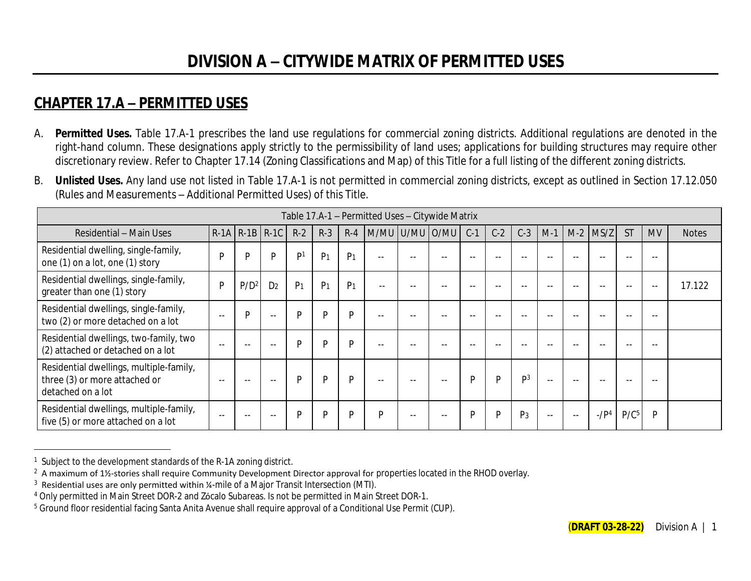## **CHAPTER 17.A – PERMITTED USES**

- A. **Permitted Uses.** Table 17.A-1 prescribes the land use regulations for commercial zoning districts. Additional regulations are denoted in the right-hand column. These designations apply strictly to the permissibility of land uses; applications for building structures may require other discretionary review. Refer to Chapter 17.14 (Zoning Classifications and Map) of this Title for a full listing of the different zoning districts.
- B. **Unlisted Uses.** Any land use not listed in Table 17.A-1 is not permitted in commercial zoning districts, except as outlined in Section 17.12.050 (Rules and Measurements – Additional Permitted Uses) of this Title.

|                                                                                               |      |                  |                |                |                |                | Table 17.A-1 - Permitted Uses - Citywide Matrix |       |       |       |       |                |               |       |            |                  |           |              |
|-----------------------------------------------------------------------------------------------|------|------------------|----------------|----------------|----------------|----------------|-------------------------------------------------|-------|-------|-------|-------|----------------|---------------|-------|------------|------------------|-----------|--------------|
| Residential - Main Uses                                                                       |      | $R-1A$ $R-1B$    | $R-1C$         | $R-2$          | $R-3$          | $R-4$          | M/MU U/MU O/MU                                  |       |       | $C-1$ | $C-2$ | $C-3$          | $M-1$         | $M-2$ | MS/Z       | <b>ST</b>        | <b>MV</b> | <b>Notes</b> |
| Residential dwelling, single-family,<br>one (1) on a lot, one (1) story                       | D    | D                | D              | D <sub>1</sub> | P <sub>1</sub> | P <sub>1</sub> | $- -$                                           |       |       |       |       |                |               |       |            |                  |           |              |
| Residential dwellings, single-family,<br>greater than one (1) story                           | D    | P/D <sup>2</sup> | D <sub>2</sub> | P <sub>1</sub> | P <sub>1</sub> | P <sub>1</sub> | $- -$                                           |       |       | --    | --    |                |               |       |            |                  | $- -$     | 17.122       |
| Residential dwellings, single-family,<br>two (2) or more detached on a lot                    | ٠.   | D                | $- -$          | P              | P              | P              | $- -$                                           |       | $- -$ | $- -$ | $- -$ |                |               |       |            |                  | $- -$     |              |
| Residential dwellings, two-family, two<br>(2) attached or detached on a lot                   | - -  | $ -$             | $- -$          | P              | P              | <b>D</b>       | $- -$                                           |       | $- -$ |       | --    |                |               |       | --         |                  | $ -$      |              |
| Residential dwellings, multiple-family,<br>three (3) or more attached or<br>detached on a lot | $ -$ | $\sim$ $\sim$    | --             | P              | D              | P              | $- -$                                           | $- -$ | $- -$ | D     | P     | D <sup>3</sup> | $\sim$ $\sim$ |       | --         |                  | $- -$     |              |
| Residential dwellings, multiple-family,<br>five (5) or more attached on a lot                 |      | $ -$             |                | D              | D              | D              | Þ                                               | --    | $- -$ | D     | P     | P <sub>3</sub> | $\sim$ $\sim$ |       | $-$ / $P4$ | P/C <sup>5</sup> | P         |              |

<sup>&</sup>lt;sup>1</sup> Subject to the development standards of the R-1A zoning district.

 $^2$  A maximum of 1½-stories shall require Community Development Director approval for properties located in the RHOD overlay.

 $3$  Residential uses are only permitted within  $\frac{1}{4}$ -mile of a Major Transit Intersection (MTI).

<sup>4</sup> Only permitted in Main Street DOR-2 and Zόcalo Subareas. Is not be permitted in Main Street DOR-1.

<sup>&</sup>lt;sup>5</sup> Ground floor residential facing Santa Anita Avenue shall require approval of a Conditional Use Permit (CUP).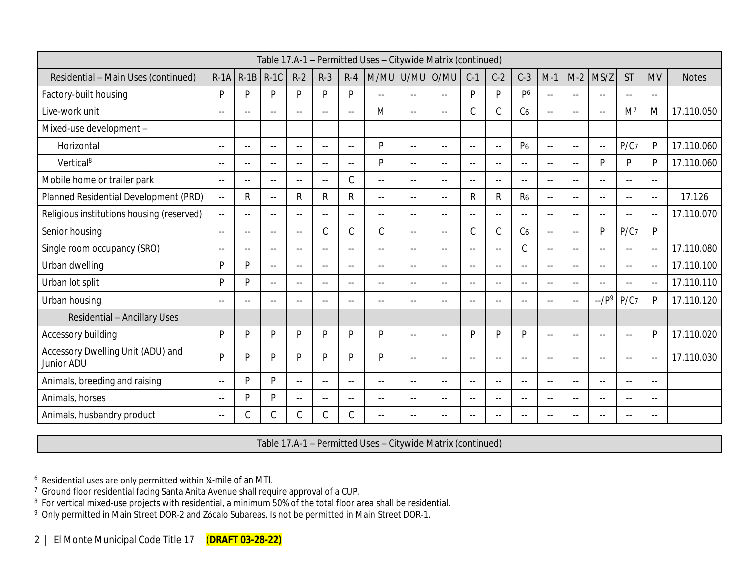|                                                 |               |                |               |               |               |               | Table 17.A-1 - Permitted Uses - Citywide Matrix (continued) |                   |               |               |                            |                          |               |               |                          |                  |               |              |
|-------------------------------------------------|---------------|----------------|---------------|---------------|---------------|---------------|-------------------------------------------------------------|-------------------|---------------|---------------|----------------------------|--------------------------|---------------|---------------|--------------------------|------------------|---------------|--------------|
| Residential - Main Uses (continued)             | $R-1A$        | $R-1B$         | $R-1C$        | $R-2$         | $R-3$         | $R-4$         | M/MU                                                        | U/MU O/MU         |               | $C-1$         | $C-2$                      | $C-3$                    | $M-1$         | $M-2$         | MS/Z                     | <b>ST</b>        | <b>MV</b>     | <b>Notes</b> |
| Factory-built housing                           | P             | P              | D             | P             | P             | P             | $\overline{a}$                                              | $\sim$ $\sim$     | $\sim$ $\sim$ | P             | P                          | P <sub>6</sub>           | $\sim$ $\sim$ | $\sim$ $\sim$ | $\overline{a}$           | $\sim$ $\sim$    | $\sim$ $\sim$ |              |
| Live-work unit                                  | $\sim$ $\sim$ | $-$            | $\sim$ $\sim$ | $\sim$ $\sim$ | $-$           | $\sim$ $\sim$ | M                                                           | $\sim$ $\sim$     | $\sim$ $\sim$ | C             | $\mathsf C$                | C <sub>6</sub>           | $\sim$ $\sim$ | $\sim$ $-$    | $\overline{a}$           | M <sup>7</sup>   | M             | 17.110.050   |
| Mixed-use development -                         |               |                |               |               |               |               |                                                             |                   |               |               |                            |                          |               |               |                          |                  |               |              |
| Horizontal                                      | $\sim$ $-$    | $\sim$ $\sim$  | $\sim$ $\sim$ | $\sim$ $\sim$ | $-$           | $\sim$ $\sim$ | P                                                           | $\sim$            | $\sim$ $\sim$ | $\sim$ $\sim$ | $\sim$ $\sim$              | P <sub>6</sub>           | $\sim$ $\sim$ | $\sim$ $-$    | $\overline{\phantom{a}}$ | P/C7             | $\mathsf{P}$  | 17.110.060   |
| Vertical <sup>8</sup>                           | $\sim$ $-$    | $- -$          | $- -$         | $\sim$ $\sim$ | $\sim$ $\sim$ | $\sim$ $\sim$ | P                                                           | $\sim$ $\sim$     | $\sim$ $\sim$ | $\sim$ $\sim$ | $\sim$ $\sim$              | $\sim$ $\sim$            | $\sim$ $\sim$ | $\sim$ $\sim$ | D                        | D                | P             | 17.110.060   |
| Mobile home or trailer park                     | $\sim$ $\sim$ | $\sim$ $\sim$  | $\sim$ $\sim$ | $\sim$ $\sim$ | $\sim$ $\sim$ | $\mathsf C$   | $\overline{a}$                                              | $\sim$ $\sim$     | $\sim$ $\sim$ | $\sim$ $\sim$ | $\sim$ $\sim$              | $\sim$ $\sim$            | $\sim$ $\sim$ | $\sim$ $\sim$ | $\sim$                   | $\sim$ $\sim$    | $\sim$ $\sim$ |              |
| Planned Residential Development (PRD)           | $\sim$ $\sim$ | R              | $\sim$ $\sim$ | $\mathsf{R}$  | R             | R             | $-$                                                         | $\sim$ $\sim$     | $\sim$ $\sim$ | R             | $\mathsf{R}$               | R <sub>6</sub>           | $\sim$ $\sim$ | $\sim$ $\sim$ | $\overline{a}$           | $\sim$ $\sim$    | $\sim$ $\sim$ | 17.126       |
| Religious institutions housing (reserved)       | $\sim$ $\sim$ | $\sim$ $\sim$  | $\sim$ $\sim$ | $\sim$ $\sim$ | $\sim$ $\sim$ | $\sim$ $\sim$ | $\sim$ $\sim$                                               | $\sim$ $\sim$     | $\sim$ $-$    | $\sim$        | $\sim$ $\sim$              | $- -$                    | $\sim$ $\sim$ | $\sim$ $\sim$ | $\sim$                   | $\sim$ $\sim$    | $\sim$ $\sim$ | 17.110.070   |
| Senior housing                                  | $\sim$ $\sim$ | $\sim$ $\sim$  | $\sim$ $\sim$ | $\sim$ $\sim$ | C             | $\mathsf C$   | $\mathsf C$                                                 | $\sim$ $\sim$     | $\sim$ $\sim$ | $\mathcal{C}$ | $\mathsf C$                | C <sub>6</sub>           | $\sim$ $\sim$ | $\sim$ $\sim$ | P                        | P/C7             | P             |              |
| Single room occupancy (SRO)                     | $\sim$ $\sim$ | $-1$           | $\sim$ $\sim$ | $\sim$ $\sim$ | $\sim$ $\sim$ | $\sim$        | $-$                                                         | $\sim$ $\sim$     | $\sim$ $\sim$ | $\sim$ $\sim$ | $\overline{\phantom{a}}$ . | $\mathcal{C}$            | $\sim$ $\sim$ | $\sim$        | $\sim$                   | $\sim$ $\sim$    | $\sim$ $\sim$ | 17.110.080   |
| Urban dwelling                                  | P             | P              | $\sim$ $\sim$ | $- -$         | $\sim$ $\sim$ | $\sim$ $\sim$ | $\sim$ $\sim$                                               | $\sim$ $\sim$     | $\sim$ $\sim$ | $\sim$ $\sim$ | $\sim$ $\sim$              | $\sim$ $\sim$            | $\sim$ $\sim$ | $\sim$ $-$    | $\overline{a}$           | $\sim$ $\sim$    | $- -$         | 17.110.100   |
| Urban lot split                                 | P             | P              | $\sim$ $\sim$ | $-$           | $\sim$ $\sim$ | $\sim$ $\sim$ | $-$                                                         | $\sim$ $\sim$     | $\sim$ $\sim$ | $\sim$ $\sim$ | $\sim$ $\sim$              | $\overline{\phantom{a}}$ | $\sim$ $\sim$ | $-$           | $\sim$                   | $\sim$ $\sim$    | $\sim$        | 17.110.110   |
| Urban housing                                   | $\sim$ $\sim$ | $\overline{a}$ | $\sim$        |               | $\sim$        | $\sim$        | $\sim$                                                      | $\sim$            | $\sim$        | $\sim$        | $\sim$                     | $\sim$                   | $\sim$ $\sim$ |               | $-$ / $P9$               | P/C <sub>7</sub> | P             | 17.110.120   |
| <b>Residential - Ancillary Uses</b>             |               |                |               |               |               |               |                                                             |                   |               |               |                            |                          |               |               |                          |                  |               |              |
| Accessory building                              | P             | P              | Þ             | P             | P             | P             | P                                                           | $\sim$ $\sim$     | $\sim$ $\sim$ | P             | P                          | P                        | $\sim$ $\sim$ | $\sim$ $\sim$ | $\sim$                   | $\sim$ $-$       | P             | 17.110.020   |
| Accessory Dwelling Unit (ADU) and<br>Junior ADU | P             | P              | D             | P             | P             | P             | P                                                           | $\overline{a}$    | $\sim$ $\sim$ | $\sim$ $\sim$ | $\sim$ $\sim$              | $\sim$ $\sim$            | $\sim$ $\sim$ | $\sim$ $\sim$ | $\overline{a}$           | $\sim$ $\sim$    | $\sim$ $\sim$ | 17.110.030   |
| Animals, breeding and raising                   | $\sim$ $-$    | P              | Þ             | $\sim$ $\sim$ | $\sim$ $\sim$ | $\sim$ $\sim$ | $-$                                                         | $\qquad \qquad -$ | $\sim$ $\sim$ | $\sim$        | $\sim$ $\sim$              | $- -$                    | $\sim$ $\sim$ | $\sim$ $-$    | $\overline{a}$           | $\sim$           | $\sim$ $\sim$ |              |
| Animals, horses                                 | $\sim$ $\sim$ | P              | D             | $\sim$ $\sim$ | $\sim$ $\sim$ | $\sim$ $\sim$ | $\sim$ $\sim$                                               | $\sim$ $\sim$     | $\sim$ $\sim$ | $\sim$        | $\sim$ $\sim$              | $- -$                    | $\sim$ $\sim$ | $\sim$ $\sim$ | $\sim$                   | $\sim$           | $\sim$ $\sim$ |              |
| Animals, husbandry product                      | $\sim$ $-$    |                |               |               | С             | C             | $\sim$ $\sim$                                               | --                | $-$           | $\sim$ $\sim$ | $\sim$ $\sim$              | $-$                      | $\sim$ $\sim$ |               | $-$                      | $\sim$ $\sim$    | $\sim$ $\sim$ |              |

Table 17.A-1 – Permitted Uses – Citywide Matrix (continued)

 $6$  Residential uses are only permitted within  $\frac{1}{2}$ -mile of an MTI.

<sup>&</sup>lt;sup>7</sup> Ground floor residential facing Santa Anita Avenue shall require approval of a CUP.

<sup>&</sup>lt;sup>8</sup> For vertical mixed-use projects with residential, a minimum 50% of the total floor area shall be residential.

<sup>9</sup> Only permitted in Main Street DOR-2 and Zόcalo Subareas. Is not be permitted in Main Street DOR-1.

<sup>2 |</sup> El Monte Municipal Code Title 17 (**DRAFT 03-28-22)**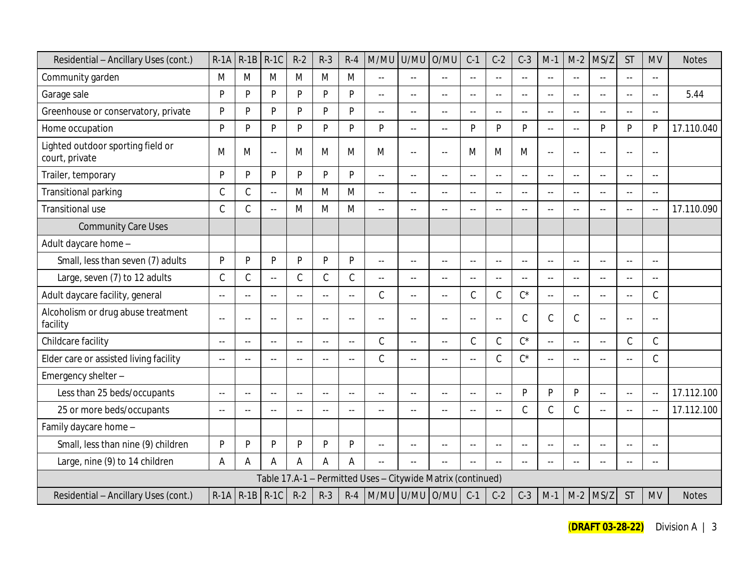| Residential - Ancillary Uses (cont.)                | $R-1A$               | $R-1B$        | $R-1C$        | $R-2$          | $R-3$          | $R-4$          | M/MU                                                        | U/MU                     | O/MU                    | $C-1$          | $C-2$                     | $C-3$                     | $M-1$                      | $M-2$                   | MS/Z           | <b>ST</b>                 | <b>MV</b>                | <b>Notes</b> |
|-----------------------------------------------------|----------------------|---------------|---------------|----------------|----------------|----------------|-------------------------------------------------------------|--------------------------|-------------------------|----------------|---------------------------|---------------------------|----------------------------|-------------------------|----------------|---------------------------|--------------------------|--------------|
| Community garden                                    | M                    | M             | M             | M              | M              | M              | Ξ.                                                          | $\overline{\phantom{a}}$ | $\sim$                  | $\overline{a}$ | $\sim$                    | $\overline{a}$            | $\sim$                     | $\sim$ $\sim$           | $\sim$ $\sim$  | $-$                       | $\overline{a}$           |              |
| Garage sale                                         | P                    | D             | P             | $\mathsf{P}$   | P              | P              | Ξ.                                                          | $-$                      | $\sim$                  | $\overline{a}$ | $\sim$ $\sim$             | $\overline{a}$            | $\sim$                     | $\sim$                  | $\sim$ $\sim$  | $-$                       | $-$                      | 5.44         |
| Greenhouse or conservatory, private                 | P                    | D             | Þ             | P              | D              | P              | $\overline{a}$                                              | $=$                      | $-$                     | $\sim$ $\sim$  | $\sim$ $\sim$             | $\sim$ $\sim$             | $\sim$ $\sim$              |                         | ш.             | $\sim$ $\sim$             | $-$                      |              |
| Home occupation                                     | P                    | D             | D             | P              | p              | P              | P                                                           | $\overline{\phantom{a}}$ | $\sim$                  | P              | P                         | <b>P</b>                  | $\sim$                     | $\sim$ $\sim$           | D              | P                         | P                        | 17.110.040   |
| Lighted outdoor sporting field or<br>court, private | M                    | M             | $-$           | M              | M              | M              | M                                                           | $\overline{\phantom{a}}$ | $\sim$                  | M              | M                         | M                         | $\sim$                     | $\sim$ $\sim$           | $\sim$ $\sim$  | $\overline{a}$            | $-$                      |              |
| Trailer, temporary                                  | P                    | Þ             | P             | P              | P              | P              | 44                                                          | $-1$                     | $\mathbb{L} \mathbb{L}$ | $\sim$ $\sim$  | $\mathbb{Z}^{\mathbb{Z}}$ | $\sim$ $\sim$             | $\mathbb{L}^{\mathbb{L}}$  |                         | ÷.             | $\sim$ $\sim$             | $- -$                    |              |
| Transitional parking                                | $\mathsf C$          | C             | 44            | M              | M              | M              | $\overline{a}$                                              | $-$                      | $\sim$                  | $\overline{a}$ | $\sim$ $\sim$             | $\sim$ $\sim$             | $\sim$                     | $\sim$ $\sim$           | $\sim$ $\sim$  | $-$                       | $\sim$                   |              |
| Transitional use                                    | $\mathsf C$          | C             |               | M              | M              | M              | ц.                                                          | Ξ.                       | $-$                     | $\overline{a}$ | $\overline{a}$            | $\sim$                    | $-$                        |                         |                | $-$                       | $\overline{\phantom{a}}$ | 17.110.090   |
| <b>Community Care Uses</b>                          |                      |               |               |                |                |                |                                                             |                          |                         |                |                           |                           |                            |                         |                |                           |                          |              |
| Adult daycare home -                                |                      |               |               |                |                |                |                                                             |                          |                         |                |                           |                           |                            |                         |                |                           |                          |              |
| Small, less than seven (7) adults                   | P                    | P             | P             | P              | $\mathsf{P}$   | P              | $\overline{a}$                                              | $\overline{a}$           | $\mathbb{L} \mathbb{L}$ | $\overline{a}$ | $\sim$                    | $\sim$                    | $\sim$                     | $\sim$ $\sim$           | $\sim$         | $\overline{a}$            | $-$                      |              |
| Large, seven (7) to 12 adults                       | $\mathsf C$          | C             | $-1$          | $\mathsf C$    | $\mathcal{C}$  | $\mathsf C$    | $\overline{a}$                                              | $\overline{\phantom{a}}$ | $\mathbb{L} \mathbb{L}$ | $\sim$ $\sim$  | $\sim$ $\sim$             | $\mathbb{L}^{\mathbb{L}}$ | $\sim$ $\sim$              | $\mathbb{L} \mathbb{L}$ | $\sim$ $\sim$  | $\sim$ $\sim$             | $-1$                     |              |
| Adult daycare facility, general                     | $\sim$               | $\sim$ $\sim$ | $- -$         | $\sim$         | $\sim$ $-$     | $\mathbf{u}$   | C                                                           | $\sim$ $\sim$            | $\sim$                  | $\mathcal{C}$  | $\mathcal{C}$             | $C^*$                     | $\sim$                     | $\sim$ $\sim$           | $-$            | $\sim$ $\sim$             | $\mathcal{C}$            |              |
| Alcoholism or drug abuse treatment<br>facility      | $\sim$ $\sim$        | $-$           |               | $\overline{a}$ | $\overline{a}$ | $-$            | $-$                                                         | $-$                      | $\sim$ $\sim$           | $\overline{a}$ | $\overline{a}$            | $\mathcal{C}$             | $\mathsf C$                | $\mathcal{C}$           | ă,             | $-$                       | $-$                      |              |
| Childcare facility                                  | $\sim$ $\sim$        | $\sim$ $\sim$ | $-1$          | $\sim$         | $\sim$ $-$     | $\overline{a}$ | C                                                           | $\sim$ $\sim$            | $\mathbb{L} \mathbb{L}$ | $\mathcal{C}$  | $\mathcal{C}$             | $C^*$                     | $\overline{a}$             | $\sim$ $\sim$           | $\sim$ $\sim$  | C                         | $\mathcal{C}$            |              |
| Elder care or assisted living facility              | $\sim$ $\sim$        | $\sim$ $\sim$ | $-$           | $-$            | $\sim$ $\sim$  | $\overline{a}$ | $\mathcal{C}$                                               | $\overline{a}$           | $\mathbb{L} \mathbb{L}$ | $\sim$ $\sim$  | $\mathcal{C}$             | $C^*$                     | $\sim$ $\sim$              |                         | $\sim$ $\sim$  | $-$                       | $\mathcal{C}$            |              |
| Emergency shelter-                                  |                      |               |               |                |                |                |                                                             |                          |                         |                |                           |                           |                            |                         |                |                           |                          |              |
| Less than 25 beds/occupants                         | $\sim$               | $\sim$ $\sim$ | $-1$          | $\sim$ $\sim$  | $\sim$ $\sim$  | $\sim$         | Ξ.                                                          | $\overline{\phantom{a}}$ | $\mathbb{L} \mathbb{L}$ | $\sim$ $\sim$  | $\sim$                    | <b>D</b>                  | P                          | D                       | $-$            | $\mathbb{L}^{\mathbb{L}}$ | $\sim$ $\sim$            | 17.112.100   |
| 25 or more beds/occupants                           | $\sim$ $\sim$        | $\sim$ $\sim$ | $\sim$ $\sim$ | $\sim$ $\sim$  | $\sim$ $\sim$  | $-$            | $\overline{a}$                                              | $\sim$ $\sim$            | $\sim$ $\sim$           | $\sim$         | $\sim$                    | $\mathcal{C}$             | $\mathcal{C}$              | $\mathcal{C}$           |                | $-$                       | $-$                      | 17.112.100   |
| Family daycare home -                               |                      |               |               |                |                |                |                                                             |                          |                         |                |                           |                           |                            |                         |                |                           |                          |              |
| Small, less than nine (9) children                  | P                    | D             | <b>D</b>      | P              | P              | P              | $-$                                                         | $-$                      | $\sim$                  | $-$            | $\sim$ $\sim$             | $-$                       | $\sim$                     | $\sim$ $\sim$           | $\overline{a}$ | $-$                       | --                       |              |
| Large, nine (9) to 14 children                      | A                    | A             | А             | A              | A              | A              | $\overline{a}$                                              |                          | $- -$                   |                | $\sim$ $\sim$             | $\sim$ $\sim$             | $\overline{\phantom{a}}$ . |                         |                | $\sim$                    | $- -$                    |              |
|                                                     |                      |               |               |                |                |                | Table 17.A-1 - Permitted Uses - Citywide Matrix (continued) |                          |                         |                |                           |                           |                            |                         |                |                           |                          |              |
| Residential - Ancillary Uses (cont.)                | $R-1A$ $R-1B$ $R-1C$ |               |               | $R-2$          | $R-3$          | $R-4$          | M/MU U/MU O/MU                                              |                          |                         | $C-1$          | $C-2$                     | $C-3$                     | $M-1$                      | $M-2$                   | MS/Z           | <b>ST</b>                 | <b>MV</b>                | <b>Notes</b> |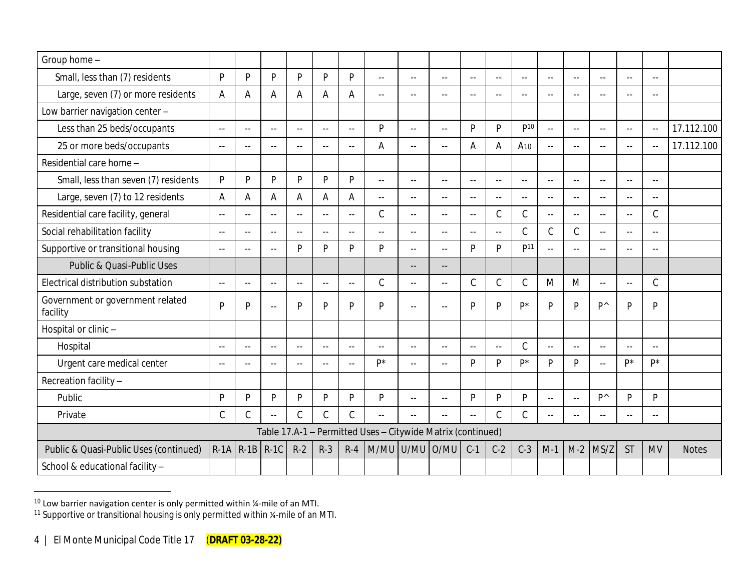| Group home -                                 |                |               |               |               |                |                           |                                                             |                           |               |                |                           |                 |                     |                          |                |                |                |              |
|----------------------------------------------|----------------|---------------|---------------|---------------|----------------|---------------------------|-------------------------------------------------------------|---------------------------|---------------|----------------|---------------------------|-----------------|---------------------|--------------------------|----------------|----------------|----------------|--------------|
| Small, less than (7) residents               | P              | $\mathsf{P}$  | P             | D             | P              | P                         | $\sim$ $\sim$                                               | $\sim$ $\sim$             | $\sim$ $\sim$ | $\sim$         | $\sim$ $\sim$             | $\sim$ $\sim$   | $\sim$ $\sim$       | $\sim$ $\sim$            | $\sim$         | $\sim$         | $\sim$ $\sim$  |              |
| Large, seven (7) or more residents           | $\overline{A}$ | A             | А             | A             | A              | A                         | $\overline{a}$                                              | $\sim$                    | $\sim$        | $\sim$         | $\sim$                    | $\sim$ $\sim$   | $\sim$ $\sim$       | $-$                      |                | $\sim$         | $\sim$ $\sim$  |              |
| Low barrier navigation center -              |                |               |               |               |                |                           |                                                             |                           |               |                |                           |                 |                     |                          |                |                |                |              |
| Less than 25 beds/occupants                  | $\sim$ $\sim$  | $\sim$        | $\sim$ $\sim$ | $\sim$ $-$    | $\sim$         | $\mathbb{Z}^{\mathbb{Z}}$ | P                                                           | $\sim$                    | $\sim$ $\sim$ | P              | P                         | P10             | $\omega_{\rm{eff}}$ | $\sim$ $\sim$            | $\sim$         | $\sim$ $\sim$  | $\sim$ $\sim$  | 17.112.100   |
| 25 or more beds/occupants                    | $\sim$ $\sim$  | $\sim$ $\sim$ | $\sim$ $-$    |               | $\sim$         | $\sim$ $\sim$             | Α                                                           | $-$                       | $\sim$ $\sim$ | Α              | A                         | A <sub>10</sub> | $\sim$ $\sim$       | $\sim$ $\sim$            | $\sim$ $\sim$  | $\sim$         | $\overline{a}$ | 17.112.100   |
| Residential care home -                      |                |               |               |               |                |                           |                                                             |                           |               |                |                           |                 |                     |                          |                |                |                |              |
| Small, less than seven (7) residents         | P              | P             | P             | D             | P              | P                         | $\overline{a}$                                              | $-$                       | $-$           | $-$            | $\sim$ $\sim$             | $\sim$ $\sim$   | $\sim$              | н.                       | $\sim$         | $-$            | $\sim$ $\sim$  |              |
| Large, seven (7) to 12 residents             | A              | Α             | A             | A             | A              | A                         | $\mathbf{u}$                                                | $\overline{a}$            | $\sim$ $\sim$ | $\sim$         | $\sim$ $\sim$             | $\sim$ $\sim$   | $\sim$ $\sim$       | $\overline{\phantom{a}}$ |                | $\sim$         | $\sim$         |              |
| Residential care facility, general           | $\sim$ $\sim$  | $\sim$ $\sim$ | $\sim$ $\sim$ | $\sim$        | $\overline{a}$ | $\mathbb{L}^{\mathbb{L}}$ | $\mathcal{C}$                                               | $\mathbb{L}^{\mathbb{L}}$ | $\sim$ $\sim$ | $\sim$         | $\mathsf C$               | $\mathcal{C}$   | $\sim$ $\sim$       | $\overline{\phantom{a}}$ | $\sim$ $\sim$  | $\overline{a}$ | $\mathcal{C}$  |              |
| Social rehabilitation facility               | $\sim$ $\sim$  | $\sim$ $\sim$ | $\sim$ $\sim$ |               | $\sim$         | $\sim$                    | $\sim$                                                      | $\overline{a}$            | $\sim$        | $\sim$         | $\sim$ $\sim$             | $\mathcal{C}$   | $\mathcal{C}$       | $\mathcal{C}$            |                | $\sim$         | $\sim$         |              |
| Supportive or transitional housing           | $\sim$ $\sim$  | $\sim$        | $\sim$ $\sim$ | D             | P              | P                         | P                                                           | $- -$                     | $\sim$ $\sim$ | P              | D                         | D <sup>11</sup> | $\sim$ $\sim$       | $\overline{a}$           | $\sim$         | $\sim$         | $\sim$         |              |
| Public & Quasi-Public Uses                   |                |               |               |               |                |                           |                                                             | $\overline{a}$            | $-$           |                |                           |                 |                     |                          |                |                |                |              |
| Electrical distribution substation           | $\sim$ $\sim$  | $\sim$ $\sim$ | $\sim$ $\sim$ | $\sim$        | $\sim$ $\sim$  | $\sim$ $\sim$             | $\mathcal{C}$                                               | $\mathbb{L}^{\mathbb{L}}$ | $\sim$ $\sim$ | $\mathcal{C}$  | $\mathsf C$               | $\mathcal{C}$   | M                   | M                        | $\sim$ $\sim$  | $\overline{a}$ | $\mathcal{C}$  |              |
| Government or government related<br>facility | P              | P             | $\sim$ $\sim$ | D             | P              | P                         | P                                                           | 44                        | $\sim$ $\sim$ | P              | P                         | D*              | D                   | D                        | $P^{\wedge}$   | P              | P              |              |
| Hospital or clinic -                         |                |               |               |               |                |                           |                                                             |                           |               |                |                           |                 |                     |                          |                |                |                |              |
| Hospital                                     | $\sim$ $\sim$  | $\sim$ $\sim$ | $\sim$ $\sim$ | $\sim$ $\sim$ | $\sim$         | $\mathbb{L}^{\mathbb{L}}$ | $\sim$                                                      | $\overline{a}$            | $\sim$ $\sim$ | $\sim$ $\sim$  | $\mathbb{Z}^{\mathbb{Z}}$ | $\mathcal{C}$   | $\sim$ $\sim$       | $\sim$ $\sim$            | $\sim$ $\sim$  | $\sim$         | $\sim$ $\sim$  |              |
| Urgent care medical center                   | $\sim$ $\sim$  | $\sim$ $\sim$ | $\sim$ $\sim$ | $\sim$ $\sim$ | $\sim$         | $\mathbb{L}^{\mathbb{L}}$ | p*                                                          | $\overline{a}$            | $\sim$ $\sim$ | P              | P                         | D*              | D                   | D                        | $\sim$ $\sim$  | D*             | D*             |              |
| Recreation facility -                        |                |               |               |               |                |                           |                                                             |                           |               |                |                           |                 |                     |                          |                |                |                |              |
| Public                                       | $\mathsf{P}$   | P             | <b>D</b>      | D             | P              | P                         | P                                                           | $\overline{a}$            | $\sim$ $\sim$ | P              | P                         | P               | $\sim$ $\sim$       | $\sim$ $\sim$            | D <sup>^</sup> | P              | D              |              |
| Private                                      | $\mathcal{C}$  | $\mathcal{C}$ | $\sim$ $\sim$ | C             | C              | $\mathcal{C}$             | $\mathbf{u}$                                                | $\sim$ $\sim$             | $\sim$ $\sim$ | $\overline{a}$ | $\mathcal{C}$             | $\mathcal{C}$   | $\sim$ $\sim$       | $\sim$                   | $\sim$ $\sim$  | $\sim$         | $\sim$ $\sim$  |              |
|                                              |                |               |               |               |                |                           | Table 17.A-1 - Permitted Uses - Citywide Matrix (continued) |                           |               |                |                           |                 |                     |                          |                |                |                |              |
| Public & Quasi-Public Uses (continued)       | $R-1A$         | $R-1B$        | $R-1C$        | $R-2$         | $R-3$          | $R-4$                     | M/MU U/MU                                                   |                           | O/MU          | $C-1$          | $C-2$                     | $C-3$           | $M-1$               | $M-2$                    | MS/Z           | <b>ST</b>      | <b>MV</b>      | <b>Notes</b> |
| School & educational facility -              |                |               |               |               |                |                           |                                                             |                           |               |                |                           |                 |                     |                          |                |                |                |              |

 $10$  Low barrier navigation center is only permitted within  $\frac{1}{4}$ -mile of an MTI.

<sup>&</sup>lt;sup>11</sup> Supportive or transitional housing is only permitted within ¼-mile of an MTI.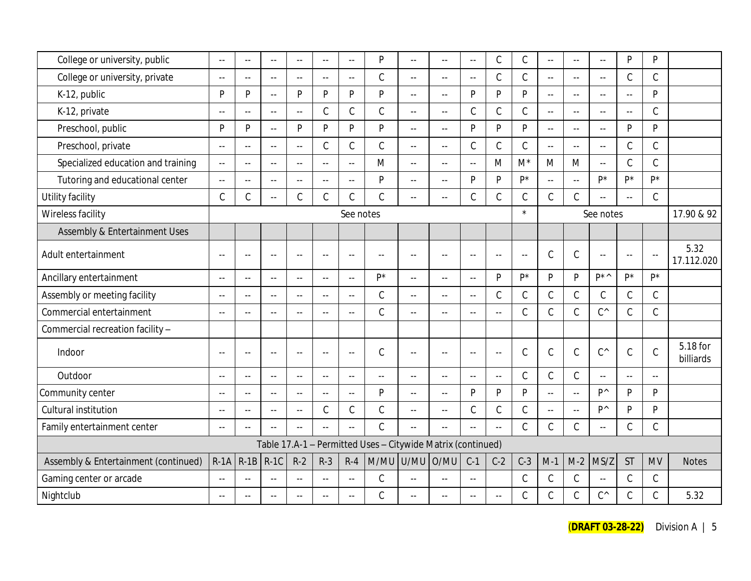| College or university, public        | $\sim$         | $-$                       | $\sim$ $\sim$             | $\sim$ $\sim$           | $\ddotsc$                | $\sim$                    | P                                                           | $\sim$ $\sim$             | $\sim$ $\sim$            | $\ddotsc$                  | $\mathsf C$               | $\mathcal{C}$ | $\mathbb{L}^{\perp}$      | $\sim$ $\sim$             | $\sim$ $\sim$         | $\mathsf{P}$            | $\mathsf{P}$  |                       |
|--------------------------------------|----------------|---------------------------|---------------------------|-------------------------|--------------------------|---------------------------|-------------------------------------------------------------|---------------------------|--------------------------|----------------------------|---------------------------|---------------|---------------------------|---------------------------|-----------------------|-------------------------|---------------|-----------------------|
| College or university, private       | $\sim$         | $\mathbb{L}^{\mathbb{L}}$ | $\sim$                    | $\sim$                  | $\sim$ $\sim$            | $\mathbb{L}^{\mathbb{L}}$ | $\mathsf C$                                                 | $\mathbb{L}^{\mathbb{L}}$ | $\sim$ $\sim$            | $\sim$ $\sim$              | $\mathcal{C}$             | $\mathcal{C}$ | $\sim$ $\sim$             | $\mathbb{L}^{\mathbb{L}}$ | $\sim$                | $\mathsf C$             | $\mathsf C$   |                       |
| K-12, public                         | P              | P                         | $\overline{a}$            | D                       | P                        | P                         | P                                                           | цц.                       | $-$                      | D                          | P                         | P             | $\mathbb{L}^{\mathbb{L}}$ | $\mathbb{L}^{\mathbb{L}}$ | $\sim$ $\sim$         | $\sim$ $\sim$           | P             |                       |
| K-12, private                        | $\sim$ $\sim$  | $\overline{a}$            | $\mathbb{L} \mathbb{L}$   | $\sim$ $-$              | $\mathcal{C}$            | $\mathsf C$               | $\mathcal{C}$                                               | $\mathbb{L}^{\mathbb{L}}$ | $\sim$                   | $\mathcal{C}$              | $\mathsf C$               | $\mathcal{C}$ | $\sim$ $\sim$             | $\mathbf{L}$              | $-$                   | $\sim$                  | $\mathcal{C}$ |                       |
| Preschool, public                    | P              | P                         | $\mathbb{L}^{\mathbb{L}}$ | D                       | P                        | P                         | P                                                           | $\overline{a}$            | $\sim$ $\sim$            | P                          | P                         | <b>D</b>      | $\sim$ $\sim$             | $\sim$ $\sim$             | $\sim$                | P                       | P             |                       |
| Preschool, private                   | $\sim$ $\sim$  | ٠.                        | $\overline{a}$            | $\sim$ $-$              | $\mathcal{C}$            | $\mathsf C$               | $\mathcal{C}$                                               | $\sim$ $\sim$             | $\sim$                   | $\mathcal{C}$              | $\mathsf C$               | $\mathcal{C}$ | $\overline{a}$            | $\mathbf{L}$              | $\sim$ $\sim$         | $\mathsf C$             | $\mathcal{C}$ |                       |
| Specialized education and training   | $\sim$ $\sim$  | $\sim$ $\sim$             | $\sim$ $-$                | $\sim$ $\sim$           | $\sim$                   | $\mathbb{L}^{\mathbb{L}}$ | M                                                           | $\mathbb{L}^{\mathbb{L}}$ | $\sim$ $\sim$            | $-$                        | M                         | $M^*$         | M                         | M                         | $\sim$ $\sim$         | $\mathsf C$             | $\mathcal{C}$ |                       |
| Tutoring and educational center      | $\sim$ $\sim$  | $\mathbb{L}^{\mathbb{L}}$ | $\mathbb{L}^{\mathbb{L}}$ | $\sim$                  | $\ddotsc$                | $\sim$                    | P                                                           | $\mathbb{L}^{\mathbb{L}}$ | $\sim$ $\sim$            | P                          | P                         | $P^*$         | $\overline{a}$            | $\overline{a}$            | p*                    | p*                      | $P^*$         |                       |
| Utility facility                     | $\mathsf C$    | $\mathsf C$               | $\mathbb{L}^{\mathbb{L}}$ | $\mathcal{C}$           | $\mathsf C$              | $\mathsf C$               | $\mathsf C$                                                 | $\mathbb{L}^{\mathbb{L}}$ | Ξ.                       | $\mathcal{C}$              | $\mathsf C$               | $\mathcal{C}$ | $\mathsf C$               | $\mathsf C$               | $-1$                  | $\mathbb{L} \mathbb{L}$ | $\mathcal{C}$ |                       |
| Wireless facility                    |                |                           |                           |                         |                          | See notes                 |                                                             |                           |                          |                            |                           | $\star$       |                           |                           | See notes             |                         |               | 17.90 & 92            |
| Assembly & Entertainment Uses        |                |                           |                           |                         |                          |                           |                                                             |                           |                          |                            |                           |               |                           |                           |                       |                         |               |                       |
| Adult entertainment                  | $\sim$ $\sim$  | $\sim$ $\sim$             | $\sim$ $-$                | $\sim$ $\sim$           | $\sim$ $\sim$            | $\sim$ $\sim$             | $-$                                                         | $\sim$ $\sim$             | $\sim$ $\sim$            | $-$                        | $\sim$ $\sim$             | $\sim$ $\sim$ | $\mathcal{C}$             | $\mathsf C$               | $\sim$ $\sim$         | $\sim$ $\sim$           | $\sim$ $\sim$ | 5.32<br>17.112.020    |
| Ancillary entertainment              | $\sim$ $-$     | $\sim$                    | $\sim$ $\sim$             | $\sim$ $-$              | $\overline{a}$           | $\mathbb{L}^{\mathbb{L}}$ | p*                                                          | $\sim$ $\sim$             | $\sim$ $\sim$            | $-$                        | P                         | $P^*$         | P                         | <b>D</b>                  | D <sup>*</sup>        | p*                      | $P^*$         |                       |
| Assembly or meeting facility         | $\sim$ $\sim$  | $\overline{a}$            | $\overline{\phantom{a}}$  | $\sim$ $-$              | $\ddotsc$                | $\sim$                    | $\mathcal{C}$                                               | $\overline{a}$            | $\sim$ $\sim$            | $\overline{a}$             | $\mathcal{C}$             | $\mathcal{C}$ | $\mathsf C$               | $\mathsf C$               | C                     | $\mathsf C$             | $\mathcal{C}$ |                       |
| Commercial entertainment             | $\sim$ $\sim$  | $\overline{a}$            | $\overline{a}$            | $\mathbb{L} \mathbb{L}$ | $\sim$                   | $\mathbb{L}^{\mathbb{L}}$ | $\mathcal{C}$                                               | $\mathbb{L}^{\mathbb{L}}$ | $- -$                    | $\overline{\phantom{a}}$ . | $\mathbb{L}^{\mathbb{L}}$ | $\mathcal{C}$ | $\mathcal{C}$             | $\mathsf C$               | $C^{\wedge}$          | $\mathsf C$             | $\mathcal{C}$ |                       |
| Commercial recreation facility -     |                |                           |                           |                         |                          |                           |                                                             |                           |                          |                            |                           |               |                           |                           |                       |                         |               |                       |
| Indoor                               | $\sim$ $\sim$  | $\overline{a}$            | $\mathbf{L}$              |                         | $\sim$ $\sim$            | $\sim$ $\sim$             | $\mathcal{C}$                                               | $\sim$ $\sim$             | $\sim$ $\sim$            | $\sim$                     | $\mathbb{L} \mathbb{L}$   | $\mathsf C$   | $\mathsf C$               | $\mathsf C$               | $C^{\wedge}$          | $\mathsf C$             | $\mathcal{C}$ | 5.18 for<br>billiards |
| Outdoor                              | $\sim$         | $\sim$ $\sim$             | $\sim$                    | $\sim$ $\sim$           | $\sim$                   | $\sim$                    | $\sim$                                                      | $\sim$                    | $\sim$                   | $\sim$                     | $\mathbb{L}^{\mathbb{L}}$ | $\mathcal{C}$ | $\mathcal{C}$             | $\mathsf C$               |                       | $\sim$                  | $\sim$ $\sim$ |                       |
| Community center                     | $\sim$ $-$     | $\sim$ $\sim$             | $\mathbb{L} \mathbb{L}$   | $\sim$ $-$              | $\sim$ $\sim$            | $\mathbb{L}^{\mathbb{L}}$ | P                                                           | $\mathbb{L}^{\mathbb{L}}$ | $\sim$ $\sim$            | P                          | P                         | P             | $\overline{a}$            | $\mathbb{L}^{\mathbb{L}}$ | D <sup>^</sup>        | P                       | P             |                       |
| Cultural institution                 | $\overline{a}$ | --                        | $-$                       | $\sim$ $\sim$           | $\mathcal{C}$            | $\mathsf C$               | $\mathsf C$                                                 | $\overline{a}$            | $\overline{a}$           | $\mathcal{C}$              | $\mathsf C$               | $\mathcal{C}$ | $\mathbb{L}^{\perp}$      | $\sim$ $\sim$             | <b>D</b> <sup>^</sup> | P                       | $\mathsf{P}$  |                       |
| Family entertainment center          | $\sim$ $\sim$  | $\mathbb{L}^{\mathbb{L}}$ | $\mathbb{L} \mathbb{L}$   |                         | $\sim$                   | $\mathbb{L}^{\mathbb{L}}$ | $\mathcal{C}$                                               | $\mathbb{L}^{\mathbb{L}}$ | $\sim$ $\sim$            | $-$                        | $\mathbb{L}^{\mathbb{L}}$ | $\mathcal{C}$ | $\mathsf C$               | $\mathsf C$               | $\sim$                | $\mathsf C$             | $\mathcal{C}$ |                       |
|                                      |                |                           |                           |                         |                          |                           | Table 17.A-1 - Permitted Uses - Citywide Matrix (continued) |                           |                          |                            |                           |               |                           |                           |                       |                         |               |                       |
| Assembly & Entertainment (continued) | $R-1A$         | $R-1B$                    | $R-1C$                    | $R-2$                   | $R-3$                    | $R-4$                     | M/MU U/MU                                                   |                           | O/MU                     | $C-1$                      | $C-2$                     | $C-3$         | $M-1$                     | $M-2$                     | MS/Z                  | <b>ST</b>               | <b>MV</b>     | <b>Notes</b>          |
| Gaming center or arcade              | $\sim$ $\sim$  | $-$                       | $\sim$ $\sim$             |                         | $\sim$                   | $\sim$ $\sim$             | $\mathcal{C}$                                               | $\sim$ $\sim$             | $\sim$                   | $\sim$ $\sim$              |                           | $\mathcal{C}$ | $\mathsf C$               | $\mathsf C$               | $\sim$ $\sim$         | $\mathsf C$             | $\mathsf C$   |                       |
| Nightclub                            | $\sim$ $\sim$  | $-1$                      | $\sim$ $\sim$             | $\sim$ $\sim$           | $\overline{\phantom{a}}$ | $\sim$                    | $\mathcal{C}$                                               | $-$                       | $\overline{\phantom{a}}$ | $\overline{a}$             | $\sim$                    | $\mathcal{C}$ | $\mathsf C$               | $\mathsf C$               | $\mathsf{C}^\wedge$   | $\mathsf C$             | $\mathsf C$   | 5.32                  |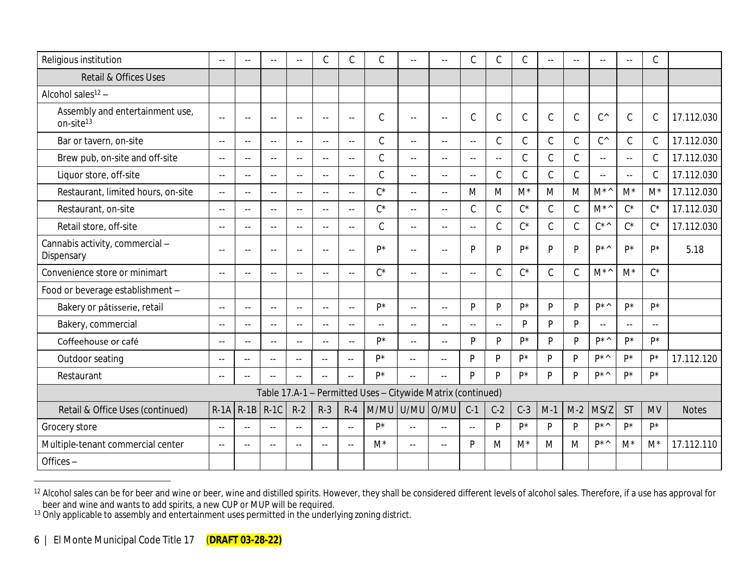| Religious institution                                    | $\sim$ $-$               | $\sim$ $\sim$ | $-$                     | $\sim$ $\sim$             | $\mathcal{C}$ | $\mathsf C$              | $\mathsf C$                                                 | $\overline{a}$          | --             | $\mathsf C$             | $\mathcal{C}$ | $\mathcal{C}$ | $-$           | --1           |
|----------------------------------------------------------|--------------------------|---------------|-------------------------|---------------------------|---------------|--------------------------|-------------------------------------------------------------|-------------------------|----------------|-------------------------|---------------|---------------|---------------|---------------|
| Retail & Offices Uses                                    |                          |               |                         |                           |               |                          |                                                             |                         |                |                         |               |               |               |               |
| Alcohol sales $12 -$                                     |                          |               |                         |                           |               |                          |                                                             |                         |                |                         |               |               |               |               |
| Assembly and entertainment use,<br>on-site <sup>13</sup> | $\sim$ $\sim$            | $\sim$ $\sim$ | $\sim$ $\sim$           | $\sim$ $\sim$             | $\sim$        | $\sim$ $\sim$            | C                                                           | $\sim$ $\sim$           | $\sim$ $\sim$  | $\mathcal{C}$           | $\mathcal{C}$ | $\mathcal{C}$ | $\mathcal{C}$ | $\mathcal{C}$ |
| Bar or tavern, on-site                                   | $\sim$ $\sim$            | $\sim$        | $\sim$ $-$              | $\overline{a}$            | $\sim$ $\sim$ | $\overline{\phantom{a}}$ | $\mathcal{C}$                                               | $\overline{a}$          | 44             | $\sim$ $\sim$           | $\mathcal{C}$ | $\mathsf C$   | $\mathsf C$   | $\mathcal{C}$ |
| Brew pub, on-site and off-site                           | $\sim$ $\sim$            | $\sim$        | $\sim$                  | $\overline{a}$            | $\sim$ $\sim$ | $\mathbf{L}$             | $\mathsf C$                                                 | $\overline{a}$          | 44             | $\sim$                  | $\sim$ $\sim$ | C             | $\mathsf C$   | $\mathcal{C}$ |
| Liquor store, off-site                                   | $\sim$ $\sim$            | $\sim$        | $\sim$ $\sim$           | $\sim$ $\sim$             | $\sim$ $\sim$ | $\overline{a}$           | $\mathsf C$                                                 | $\sim$ $\sim$           | $-1$           | $\sim$                  | $\mathcal{C}$ | C             | $\mathcal{C}$ | $\mathsf{C}$  |
| Restaurant, limited hours, on-site                       | $\sim$ $\sim$            | $\sim$        | $\sim$ $\sim$           | $\mathbb{L}^{\mathbb{L}}$ | $\sim$ $\sim$ | $\overline{\phantom{a}}$ | $C^*$                                                       | $\sim$ $\sim$           | $-1$           | M                       | M             | $M^*$         | M             | M             |
| Restaurant, on-site                                      | $\sim$ $\sim$            | $\sim$        | $\sim$                  | $\sim$                    | $\sim$ $\sim$ | $\overline{\phantom{a}}$ | $C^*$                                                       | $\sim$ $\sim$           | 44             | $\mathsf C$             | $\mathsf C$   | $C^*$         | $\mathcal{C}$ | $\mathsf{C}$  |
| Retail store, off-site                                   | $\sim$ $\sim$            | $\sim$ $\sim$ | $\sim$ $\sim$           | $\sim$ $\sim$             | $\sim$        | $\mathbb{L} \mathbb{L}$  | $\mathsf C$                                                 | $\sim$ $\sim$           | $-1$           | $\mathbb{L} \mathbb{L}$ | $\mathcal{C}$ | $C^*$         | $\mathcal{C}$ | $\mathsf{C}$  |
| Cannabis activity, commercial -<br>Dispensary            | $\sim$ $\sim$            | $\sim$ $\sim$ | $\sim$ $\sim$           | $\sim$ $\sim$             | $\sim$ $\sim$ | $\sim$ $\sim$            | $p*$                                                        | $\sim$ $\sim$           | $-1$           | P                       | D             | $P^*$         | P             | P             |
| Convenience store or minimart                            | $\sim$                   | $\sim$ $\sim$ | $\sim$                  | $\sim$                    |               | $\sim$                   | $C^*$                                                       | $\sim$ $\sim$           | $\sim$         | $\sim$ $\sim$           | $\mathcal{C}$ | $C^*$         | $\mathcal{C}$ | $\mathcal{C}$ |
| Food or beverage establishment -                         |                          |               |                         |                           |               |                          |                                                             |                         |                |                         |               |               |               |               |
| Bakery or pâtisserie, retail                             | $\sim$ $\sim$            | $\sim$ $\sim$ | $-1$                    | $\sim$ $\sim$             |               | $\overline{a}$           | $P^*$                                                       | $\sim$ $\sim$           | $\overline{a}$ | P                       | <b>P</b>      | $P^*$         | P             | P             |
| Bakery, commercial                                       | $\sim$ $\sim$            | $\sim$ $\sim$ | $\sim$ $\sim$           | $\sim$ $\sim$             | $\sim$ $\sim$ | $\mathbf{L}$             | $\sim$                                                      | $\sim$ $\sim$           | $-1$           | $\sim$ $\sim$           | $\sim$ $\sim$ | P             | P             | P             |
| Coffeehouse or café                                      | $\sim$ $\sim$            | $\sim$ $\sim$ | $\sim$ $\sim$           | $\sim$ $\sim$             | $\sim$ $\sim$ | $\mathbf{u}$             | D*                                                          | $\mathbb{L} \mathbb{L}$ | $- -$          | P                       | D             | $P^*$         | P             | P             |
| Outdoor seating                                          | $\overline{\phantom{a}}$ | $\mathbf{L}$  | $\sim$                  | $\sim$ $\sim$             | $\sim$ $\sim$ | $\sim$ $\sim$            | D <sup>*</sup>                                              | $-1$                    | $\sim$ $\sim$  | D                       | D             | D*            | D             | P             |
| Restaurant                                               | $\mathbf{u}$             | $\mathbf{L}$  | $\mathbb{L} \mathbb{L}$ | $\sim$ $\sim$             | $\sim$ $\sim$ | $\sim$ $\sim$            | D*                                                          | $-1$                    | $\sim$ $-$     | D                       | D             | D*            | P             | P             |
|                                                          |                          |               |                         |                           |               |                          | Table 17.A-1 - Permitted Uses - Citywide Matrix (continued) |                         |                |                         |               |               |               |               |
| Retail & Office Uses (continued)                         | $R-1A$                   | $R-1B$        | $R-1C$                  | $R-2$                     | $R-3$         | $R-4$                    | M/MU                                                        | U/MU                    | O/MU           | $C-1$                   | $C-2$         | $C-3$         | $M-1$         | $M-2$         |
| Grocery store                                            | $\overline{a}$           | $\sim$ $\sim$ | $\sim$ $\sim$           | $\sim$ $\sim$             | $\sim$ $\sim$ | $\sim$ $\sim$            | D*                                                          | $\overline{a}$          | $\sim$         | $\mathbf{u}$            | P             | p*            | P             | P             |
| Multiple-tenant commercial center                        | $\overline{a}$           | $-$           | $\sim$ $-$              | $\sim$ $\sim$             | $\sim$ $-$    | $\sim$                   | $M^*$                                                       | $\sim$ $\sim$           | $\sim$ $\sim$  | P                       | M             | $M^*$         | M             | M             |
| Offices-                                                 |                          |               |                         |                           |               |                          |                                                             |                         |                |                         |               |               |               |               |

<sup>&</sup>lt;sup>12</sup> Alcohol sales can be for beer and wine or beer, wine and distilled spirits. However, they shall be considered different levels of alcohol sales. beer and wine and wants to add spirits, a new CUP or MUP will be required.

 $13$  Only applicable to assembly and entertainment uses permitted in the underlying zoning district.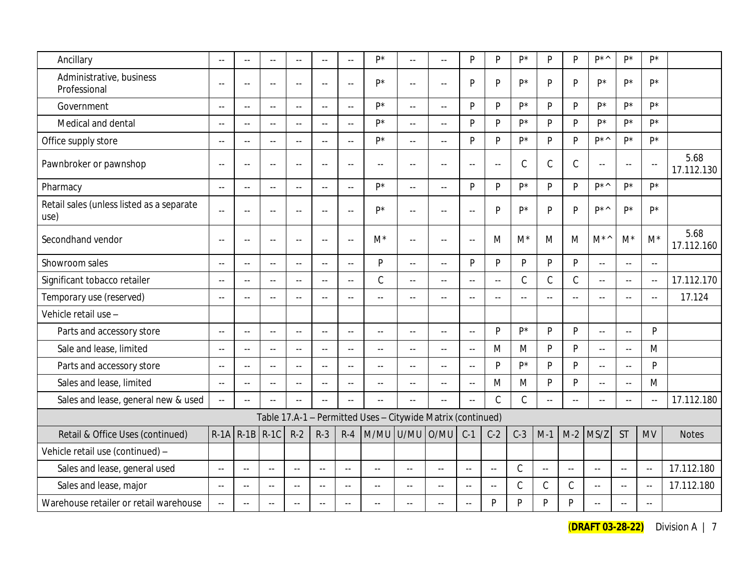| Ancillary                                         | $\sim$ $\sim$             | $\sim$                    | $\sim$                   | $\sim$        | $\sim$        | $\mathbb{L}^{\mathbb{L}}$ | p*                                                          | uu.                       | $\mathbb{L} \mathbb{L}$ | P             | P                          | p*             | $\mathsf{P}$   | <b>D</b>      | $D^*\wedge$             | $P^*$          | $P^*$                     |                    |
|---------------------------------------------------|---------------------------|---------------------------|--------------------------|---------------|---------------|---------------------------|-------------------------------------------------------------|---------------------------|-------------------------|---------------|----------------------------|----------------|----------------|---------------|-------------------------|----------------|---------------------------|--------------------|
| Administrative, business<br>Professional          | $\sim$ $\sim$             | $\sim$                    | $\sim$                   | $\sim$        | $\sim$ $\sim$ | $\mathbb{L}^{\mathbb{L}}$ | p*                                                          | $\mathbb{L}^{\mathbb{L}}$ | $\sim$ $\sim$           | P             | P                          | p*             | P              | P             | p*                      | p*             | $P^*$                     |                    |
| Government                                        | $\sim$ $\sim$             | $\sim$                    | $\overline{a}$           | $\sim$        | $\sim$        | $\mathbb{Z}^{\mathbb{Z}}$ | p*                                                          | $\mathbb{L}^{\mathbb{L}}$ | $\sim$ $\sim$           | P             | P                          | p*             | P              | <b>D</b>      | D*                      | D*             | D*                        |                    |
| Medical and dental                                | $\sim$                    | $\sim$ $\sim$             | $-1$                     | $\sim$        | $\sim$ $\sim$ | $\mathbb{L} \mathbb{L}$   | p*                                                          | $\mathbb{L}^{\mathbb{L}}$ | $\sim$ $\sim$           | P             | P                          | p*             | P              | P             | p*                      | p*             | D*                        |                    |
| Office supply store                               | $\sim$                    | $-$                       | $\overline{a}$           | $\sim$ $\sim$ | $\sim$ $\sim$ | $\overline{a}$            | p*                                                          | 44                        | $-$                     | P             | P                          | D*             | <b>P</b>       | D             | D <sup>*</sup>          | D <sup>*</sup> | D*                        |                    |
| Pawnbroker or pawnshop                            | $\sim$                    | $\sim$                    | $\overline{\phantom{a}}$ | $\sim$ $\sim$ | $\sim$ $\sim$ | $-$                       | $\overline{a}$                                              | $\sim$ $\sim$             | $\sim$ $\sim$           | $\sim$        | $\mathbb{L}^{\perp}$       | $\mathsf C$    | $\mathbb C$    | $\mathcal{C}$ | $\mathbf{L}$            | $\overline{a}$ | $\overline{a}$            | 5.68<br>17.112.130 |
| Pharmacy                                          | $\sim$ $\sim$             | $\mathbf{u}$              | $\mathbf{L}$             | $\sim$ $-$    | $\sim$ $\sim$ | $\sim$ $\sim$             | p*                                                          | $\sim$ $\sim$             | $\overline{a}$          | P             | P                          | D*             | <b>P</b>       | <b>D</b>      | $D^*\wedge$             | D <sup>*</sup> | p*                        |                    |
| Retail sales (unless listed as a separate<br>use) | $\mathbb{L}$ .            | $\sim$                    | $\sim$ $\sim$            |               | $\sim$        | $\sim$ $\sim$             | $P^*$                                                       | $\overline{a}$            | $\sim$ $\sim$           | ÷.            | P                          | D*             | P              | P             | D <sup>*</sup>          | p*             | $P^*$                     |                    |
| Secondhand vendor                                 | $\sim$ $\sim$             | $\sim$                    | $\sim$ $\sim$            | $\sim$        | $\sim$ $\sim$ | $\sim$ $\sim$             | $M^*$                                                       | $\sim$ $\sim$             | $\mathbf{u}$            | $\sim$        | M                          | $M^*$          | M              | M             | $M^{\star}{}^{\wedge}$  | $M^*$          | $M^*$                     | 5.68<br>17.112.160 |
| Showroom sales                                    | $\sim$ $\sim$             | $\sim$ $\sim$             | $\overline{a}$           | $\sim$ $\sim$ | $\sim$ $\sim$ | $\mathbb{L}^{\mathbb{L}}$ | ${\sf P}$                                                   | $\mathbb{L}^{\mathbb{L}}$ | $\sim$ $\sim$           | P             | P                          | $\mathsf{P}$   | P              | P             | $\mathbb{L}$ .          | $\sim$ $\sim$  | $\mathbb{L}^{\mathbb{L}}$ |                    |
| Significant tobacco retailer                      | $\mathbb{L}^{\mathbb{L}}$ | $\sim$ $\sim$             | ωü,                      | $\sim$        | $\sim$ $\sim$ | $\mathbb{L}^{\mathbb{L}}$ | $\mathcal{C}$                                               | $\mathbb{L}^{\mathbb{L}}$ | $\sim$ $\sim$           | $\sim$ $\sim$ | $\sim$ $\sim$              | $\mathcal{C}$  | $\mathsf C$    | $\mathcal{C}$ | $\mathbb{L} \mathbb{L}$ | $\sim$ $\sim$  | $\mathbb{L}^{\mathbb{L}}$ | 17.112.170         |
| Temporary use (reserved)                          | $\overline{\phantom{a}}$  | $-1$                      | $\mathcal{L} =$          | $\sim$ $\sim$ | $\sim$ $\sim$ | $\sim$ $\sim$             | $-$                                                         | $\mathcal{L} =$           | $-$                     | $=$ $-$       | $\overline{\phantom{a}}$ . | $\sim$ $\sim$  | $\mathbb{L}$ . | $-1$          |                         | $\sim$ $\sim$  | $\overline{a}$            | 17.124             |
| Vehicle retail use -                              |                           |                           |                          |               |               |                           |                                                             |                           |                         |               |                            |                |                |               |                         |                |                           |                    |
| Parts and accessory store                         | $\sim$                    | $-$                       | $\overline{a}$           | $\sim$ $\sim$ | $\sim$        | $\overline{a}$            | $-$                                                         | $\sim$ $\sim$             | $\overline{a}$          | $\ddotsc$     | P                          | p*             | P              | P             | $\overline{a}$          | $\overline{a}$ | P                         |                    |
| Sale and lease, limited                           | $\sim$ $-$                | $\sim$                    | $\overline{a}$           | $\sim$ $\sim$ | $\sim$        | $\sim$ $-$                | $-$                                                         | $\sim$ $-$                | $\sim$ $-$              | $\sim$ $-$    | M                          | M              | P              | P             | $\overline{a}$          | $\sim$ $\sim$  | M                         |                    |
| Parts and accessory store                         | $\sim$ $\sim$             | $\mathbb{L}^{\mathbb{L}}$ | $\overline{a}$           | $\sim$ $-$    | $\sim$ $\sim$ | $\overline{a}$            | $\overline{a}$                                              | $\mathbb{L}^{\mathbb{L}}$ | $\sim$ $\sim$           | $\sim$ $\sim$ | P                          | D <sup>*</sup> | <b>P</b>       | <b>D</b>      | $\mathbf{L}$            | $\sim$ $\sim$  | <b>D</b>                  |                    |
| Sales and lease, limited                          | $\sim$                    | Ξ.                        | $\overline{a}$           | $\sim$ $\sim$ | $\sim$ $\sim$ | $\overline{a}$            | $\overline{a}$                                              | $-$                       | $\sim$ $\sim$           | $\ddotsc$     | M                          | M              | $\mathsf{P}$   | <b>D</b>      | $\sim$ $\sim$           | $\overline{a}$ | M                         |                    |
| Sales and lease, general new & used               | $\mathbb{Z}^{\mathbb{Z}}$ | $\sim$                    |                          | $\sim$        | $\sim$        | $\sim$                    | ÷.                                                          | $\sim$                    | $\sim$                  |               | $\mathcal{C}$              | $\mathcal{C}$  | $\mathbb{Z}^2$ | $\sim$        | $\sim$                  | $\sim$         | $\sim$                    | 17.112.180         |
|                                                   |                           |                           |                          |               |               |                           | Table 17.A-1 - Permitted Uses - Citywide Matrix (continued) |                           |                         |               |                            |                |                |               |                         |                |                           |                    |
| Retail & Office Uses (continued)                  | $R-1A$                    | $ R-1B $                  | $R-1C$                   | $R-2$         | $R-3$         | $R-4$                     | M/MU U/MU                                                   |                           | O/MU                    | $C-1$         | $C-2$                      | $C-3$          | $M-1$          | $M-2$         | MS/Z                    | <b>ST</b>      | <b>MV</b>                 | <b>Notes</b>       |
| Vehicle retail use (continued) -                  |                           |                           |                          |               |               |                           |                                                             |                           |                         |               |                            |                |                |               |                         |                |                           |                    |
| Sales and lease, general used                     | $\sim$ $\sim$             | $\sim$ $\sim$             | $\sim$ $\sim$            | $\sim$ $\sim$ | $\sim$ $\sim$ | $\mathbb{L} \mathbb{L}$   | $\sim$                                                      | $\sim$ $\sim$             | $\sim$ $\sim$           | $\sim$        | $\sim$ $\sim$              | $\mathcal{C}$  | $\sim$ $\sim$  | $\sim$ $\sim$ | $\mathbb{L} \mathbb{L}$ | $\sim$         | $\sim$                    | 17.112.180         |
| Sales and lease, major                            | $\sim$                    | $\sim$ $\sim$             | $\sim$ $\sim$            | $\sim$ $\sim$ | $\sim$ $\sim$ | $\sim$ $\sim$             | $\sim$ $\sim$                                               | $\sim$ $\sim$             | $\sim$                  | $\sim$        | $\sim$ $\sim$              | $\mathcal{C}$  | $\mathcal{C}$  | $\mathsf C$   | $\mathbb{L} \mathbb{L}$ | $\sim$ $\sim$  | $\sim$                    | 17.112.180         |
| Warehouse retailer or retail warehouse            | $\sim$                    | $\sim$ $\sim$             | $\sim$ $\sim$            | $\sim$ $\sim$ | $\sim$ $\sim$ | $\sim$                    | $\sim$ $\sim$                                               |                           | $\sim$ $\sim$           | $\sim$        | Þ                          | P              | P              | P             | $\sim$                  | $\sim$ $-$     | $\sim$ $\sim$             |                    |

(**DRAFT 03-28-22)** Division A | 7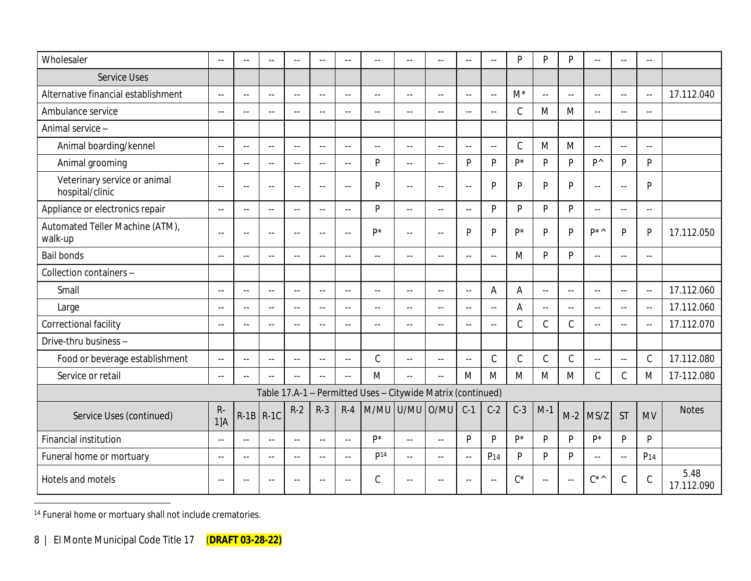| Wholesaler                                      | $\sim$ $\sim$      |               | $\sim$ $\sim$ | $\sim$ $\sim$ | $\sim$ $\sim$ | $\sim$                    | $\sim$ $\sim$                                               | $\sim$ $\sim$             | $-$                       | $\sim$                    | $\sim$          | P             | <b>D</b>                  | $\mathsf{P}$               | $\sim$                    | $\sim$ $\sim$ | $\sim$ $\sim$   |                    |
|-------------------------------------------------|--------------------|---------------|---------------|---------------|---------------|---------------------------|-------------------------------------------------------------|---------------------------|---------------------------|---------------------------|-----------------|---------------|---------------------------|----------------------------|---------------------------|---------------|-----------------|--------------------|
| <b>Service Uses</b>                             |                    |               |               |               |               |                           |                                                             |                           |                           |                           |                 |               |                           |                            |                           |               |                 |                    |
| Alternative financial establishment             | $\sim$ $\sim$      | $\sim$ $\sim$ | $\sim$ $\sim$ | $\sim$ $\sim$ | $\sim$ $\sim$ | $\sim$ $\sim$             | $\sim$ $\sim$                                               | $\sim$                    | $\sim$ $\sim$             | $\sim$ $\sim$             | $-$             | $M^*$         | $\sim$ $\sim$             | $\sim$ $\sim$              | $\sim$ $\sim$             | $\sim$ $\sim$ | $\sim$ $-$      | 17.112.040         |
| Ambulance service                               | $\sim$ $\sim$      | $\sim$ $\sim$ |               | $\sim$ $\sim$ | $\sim$ $\sim$ | $\sim$ $\sim$             | $\sim$ $\sim$                                               | $\sim$ $\sim$             | $\sim$ $\sim$             | ω.                        | $\sim$ $\sim$   | $\mathcal{C}$ | M                         | M                          | $\overline{a}$            | $\sim$ $\sim$ | $\sim$ $\sim$   |                    |
| Animal service -                                |                    |               |               |               |               |                           |                                                             |                           |                           |                           |                 |               |                           |                            |                           |               |                 |                    |
| Animal boarding/kennel                          | $\sim$ $\sim$      | $\sim$ $\sim$ | $\sim$ $\sim$ | $\sim$ $\sim$ | $\sim$ $\sim$ | $\sim$ $\sim$             | $\sim$ $\sim$                                               | $\sim$ $\sim$             | $\sim$ $\sim$             | $\sim$ $\sim$             | $\mathbf{L}$    | $\mathcal{C}$ | M                         | M                          | $\mathbb{L}^{\mathbb{L}}$ | $\sim$ $\sim$ | $\sim$ $\sim$   |                    |
| Animal grooming                                 | $\sim$             | $\sim$ $\sim$ | $\sim$ $-$    | $\sim$ $\sim$ | $\sim$        | $\sim$                    | P                                                           | $\sim$ $\sim$             | $\sim$                    | P                         | P               | $P^*$         | P                         | $\mathsf{P}$               | <b>D</b> <sup>^</sup>     | P             | P               |                    |
| Veterinary service or animal<br>hospital/clinic | $\sim$ $\sim$      | $\sim$ $\sim$ | $\sim$ $\sim$ | $\sim$        | $\sim$ $\sim$ | $\sim$ $\sim$             | P                                                           | $\sim$ $\sim$             | $\sim$                    | $\mathbb{L} \mathbb{L}$   | P               | P             | P                         | P                          | $\sim$ $\sim$             | $\sim$ $\sim$ | P               |                    |
| Appliance or electronics repair                 | $\sim$ $\sim$      | $\sim$ $\sim$ | $\sim$ $\sim$ | $\sim$ $\sim$ | $\sim$ $\sim$ | $\mathbb{L} \mathbb{L}$   | <b>D</b>                                                    | $\sim$ $\sim$             | $\mathbb{Z}^{\mathbb{Z}}$ | $\sim$                    | <b>P</b>        | D             | <b>D</b>                  | $\mathsf{P}$               | $\sim$                    | $\sim$ $\sim$ | $\sim$ $\sim$   |                    |
| Automated Teller Machine (ATM),<br>walk-up      | $\sim$             | $\sim$        | $\sim$ $\sim$ | $\sim$ $\sim$ | $\sim$ $\sim$ | $\sim$                    | D <sup>*</sup>                                              | $\sim$ $\sim$             | $\sim$                    | P                         | P               | $P^*$         | P                         | $\mathsf{P}$               | D <sup>*</sup>            | P             | P               | 17.112.050         |
| <b>Bail bonds</b>                               | $\sim$ $\sim$      | $\sim$        | $\sim$ $\sim$ | $\sim$ $\sim$ | $\sim$ $\sim$ | $\sim$ $\sim$             | $\sim$ $\sim$                                               | $\sim$ $\sim$             | $\mathbb{L}^{\mathbb{L}}$ | $\overline{\phantom{a}}$  | $\sim$ $\sim$   | M             | <b>D</b>                  | P                          | $\mathbf{L}$              | $\sim$ $\sim$ | $\sim$ $\sim$   |                    |
| Collection containers -                         |                    |               |               |               |               |                           |                                                             |                           |                           |                           |                 |               |                           |                            |                           |               |                 |                    |
| Small                                           | $\sim$             | $\sim$ $\sim$ | $\sim$ $\sim$ | $\sim$ $\sim$ | $\sim$ $\sim$ | $\sim$ $\sim$             | $\sim$ $\sim$                                               | $\sim$ $\sim$             | $\sim$ $\sim$             | $\sim$ $\sim$             | A               | A             | $\mathbb{Z}^{\mathbb{Z}}$ | $\mathcal{L}(\mathcal{L})$ | $\mathbb{Z}^{\mathbb{Z}}$ | $\sim$ $\sim$ | $\sim$ $\sim$   | 17.112.060         |
| Large                                           | $\sim$ $\sim$      | $\sim$ $\sim$ | $\sim$ $\sim$ | $\sim$ $\sim$ | $\sim$ $\sim$ | $\sim$ $\sim$             | $\sim$ $\sim$                                               | $\sim$ $\sim$             | $\mathbb{Z}^{\mathbb{Z}}$ | $\mathbb{Z}^{\mathbb{Z}}$ | $\sim$ $\sim$   | A             | $\sim$ $\sim$             | $\mathbb{Z}^{\mathbb{Z}}$  | $\mathbb{Z}^2$            | $\sim$ $\sim$ | $\sim$ $\sim$   | 17.112.060         |
| Correctional facility                           | $\sim$             | $\sim$ $\sim$ |               | $\sim$ $\sim$ | $\sim$ $\sim$ | $\mathbb{Z}^{\mathbb{Z}}$ | $\sim$ $\sim$                                               | $\sim$ $\sim$             | $\sim$                    | ω.                        | $\sim$ $\sim$   | $\mathcal{C}$ | $\mathsf C$               | $\mathsf C$                | $\sim$ $\sim$             | $\sim$ $\sim$ | $\sim$ $\sim$   | 17.112.070         |
| Drive-thru business -                           |                    |               |               |               |               |                           |                                                             |                           |                           |                           |                 |               |                           |                            |                           |               |                 |                    |
| Food or beverage establishment                  | $\sim$             | $\sim$ $\sim$ | $\sim$ $\sim$ | $\sim$ $\sim$ | $\sim$ $\sim$ | $\sim$ $\sim$             | $\mathsf C$                                                 | $\sim$ $\sim$             | $\sim$ $\sim$             | $\sim$ $\sim$             | $\mathcal{C}$   | $\mathcal{C}$ | $\mathcal{C}$             | $\mathsf C$                | $\mathbf{L}$              | $\sim$        | $\mathcal{C}$   | 17.112.080         |
| Service or retail                               | $\sim$ $\sim$      | $\sim$ $\sim$ | $\sim$ $\sim$ | $\sim$ $\sim$ | $\sim$ $\sim$ | $\sim$ $\sim$             | M                                                           | $\sim$ $\sim$             | $\sim$                    | M                         | M               | M             | M                         | M                          | $\mathcal{C}$             | $\mathcal{C}$ | M               | 17-112.080         |
|                                                 |                    |               |               |               |               |                           | Table 17.A-1 - Permitted Uses - Citywide Matrix (continued) |                           |                           |                           |                 |               |                           |                            |                           |               |                 |                    |
| Service Uses (continued)                        | $R -$<br>$1$ ] $A$ | $R-1B$        | $R-1C$        | $R-2$         | $R-3$         | $R-4$                     | M/MU                                                        | U/MU                      | O/MU                      | $C-1$                     | $C-2$           | $C-3$         | $M-1$                     | $M-2$                      | MS/Z                      | <b>ST</b>     | <b>MV</b>       | <b>Notes</b>       |
| Financial institution                           | $\sim$             | $\sim$ $\sim$ | $\sim$ $\sim$ | $\sim$ $\sim$ | $\sim$ $\sim$ | $\sim$ $\sim$             | p*                                                          | $\sim$ $\sim$             | $\mathbb{L}^{\mathbb{L}}$ | P                         | P               | $P^*$         | <b>D</b>                  | P                          | $p*$                      | P             | <b>D</b>        |                    |
| Funeral home or mortuary                        | $\sim$ $\sim$      | $\sim$ $\sim$ | $\sim$ $\sim$ | $\sim$ $\sim$ | $\sim$ $\sim$ | $\sim$                    | P <sup>14</sup>                                             | $\mathbb{Z}^{\mathbb{Z}}$ | $\sim$ $\sim$             | $\mathbb{Z}^{\mathbb{Z}}$ | P <sub>14</sub> | P             | $\mathsf{P}$              | P                          | $\overline{a}$            | $\sim$ $\sim$ | P <sub>14</sub> |                    |
| Hotels and motels                               | $\sim$             | $\sim$ $-$    | $\sim$ $-$    | $\sim$ $-$    | $\sim$ $-$    | $\sim$                    | $\mathcal{C}$                                               | $\sim$ $\sim$             | $-$                       | $\sim$ $\sim$             | $\sim$ $\sim$   | $C^*$         | $\sim$ $\sim$             | $\sim$                     | $C^{\star \wedge}$        | $\mathcal{C}$ | $\mathcal{C}$   | 5.48<br>17.112.090 |

<sup>14</sup> Funeral home or mortuary shall not include crematories.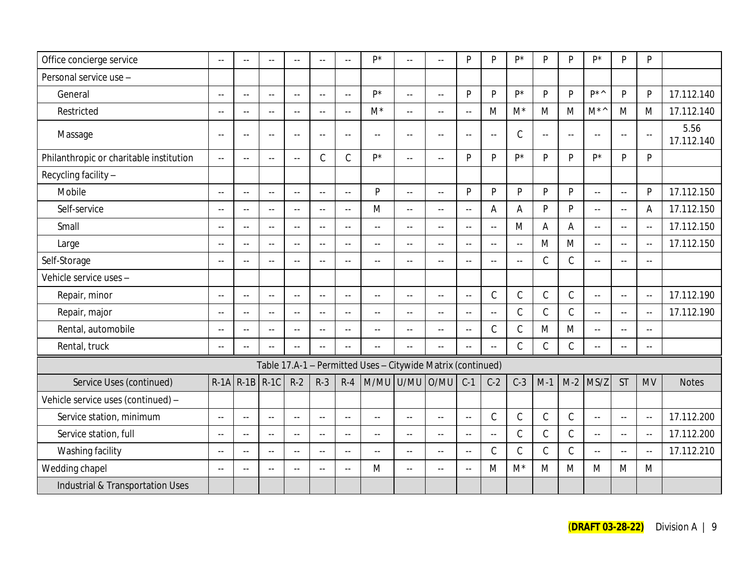| Office concierge service                | $\sim$                    | $-$                       |                | $\sim$ $\sim$  | $\sim$ $\sim$  | $\ddotsc$                 | p*                                                          |                     | $\mathbb{L} \mathbb{L}$   | P                         | P                         | $P^*$          | P             | P              | $P^*$                     | P                         | $\mathsf{P}$   |                    |
|-----------------------------------------|---------------------------|---------------------------|----------------|----------------|----------------|---------------------------|-------------------------------------------------------------|---------------------|---------------------------|---------------------------|---------------------------|----------------|---------------|----------------|---------------------------|---------------------------|----------------|--------------------|
| Personal service use -                  |                           |                           |                |                |                |                           |                                                             |                     |                           |                           |                           |                |               |                |                           |                           |                |                    |
| General                                 | $\sim$ $\sim$             | $\sim$ $\sim$             | $\sim$ $\sim$  | $\sim$ $\sim$  | $\sim$ .       | $\mathbb{Z}^{\mathbb{Z}}$ | p*                                                          | $\omega_{\rm{eff}}$ | $\sim$                    | P                         | P                         | $P^*$          | P             | $\mathsf{P}$   | $D^*$                     | P                         | $\mathsf{P}$   | 17.112.140         |
| Restricted                              | $\sim$                    | $\overline{a}$            | $\sim$         | $\sim$         | $\sim$ $\sim$  | $\sim$ $\sim$             | $M^*$                                                       | $\sim$ $\sim$       | $\sim$ $\sim$             | $\sim$ $\sim$             | M                         | $M^*$          | M             | M              | $M^{\star}{}^{\wedge}$    | M                         | M              | 17.112.140         |
| Massage                                 | $\sim$ $\sim$             | $\sim$ $-$                | $\sim$ $\sim$  | $\sim$ $\sim$  | $\sim$ $\sim$  | $\sim$ $\sim$             | $\sim$ $\sim$                                               | $\sim$ $\sim$       | $\sim$ $\sim$             | $\overline{a}$            | $\sim$ $-$                | $\mathcal{C}$  | $\sim$ $\sim$ | $\sim$ $\sim$  | $\sim$ $\sim$             | $\sim$ $\sim$             | $\sim$ $\sim$  | 5.56<br>17.112.140 |
| Philanthropic or charitable institution | $\sim$                    | $\sim$ $\sim$             | $-$            | $\sim$ $\sim$  | $\mathcal{C}$  | $\mathcal{C}$             | D*                                                          | $\sim$ $\sim$       | $\mathbb{L}^{\mathbb{L}}$ | P                         | P                         | D <sup>*</sup> | D             | $\mathsf{P}$   | D*                        | $\mathsf{P}$              | $\mathsf{P}$   |                    |
| Recycling facility -                    |                           |                           |                |                |                |                           |                                                             |                     |                           |                           |                           |                |               |                |                           |                           |                |                    |
| Mobile                                  | $\sim$ $\sim$             | $\sim$ $\sim$             | $\sim$ $\sim$  | $\sim$ $\sim$  | $\sim$ $\sim$  | $\sim$ $\sim$             | <b>D</b>                                                    | $\sim$ $\sim$       | $\mathbb{Z}^{\mathbb{Z}}$ | P                         | P                         | P              | P             | P              | $\sim$                    | $\mathbb{L}^{\mathbb{L}}$ | $\mathsf{P}$   | 17.112.150         |
| Self-service                            | $\sim$ $\sim$             | $\sim$ $\sim$             | $\sim$ $\sim$  | $\sim$ $\sim$  | $\sim$ $\sim$  | $\mathbb{L}^{\mathbb{L}}$ | M                                                           | $\sim$ $\sim$       | $\sim$                    | $\overline{a}$            | Α                         | A              | <b>D</b>      | $\mathsf{P}$   | $\overline{a}$            | $\overline{a}$            | Α              | 17.112.150         |
| Small                                   | $\sim$ $\sim$             | $\sim$ $\sim$             | $\sim$ $\sim$  | $\sim$ $\sim$  | $\sim$ $\sim$  | $\sim$ $\sim$             | $\Delta \Delta \omega$                                      | $\sim$ $\sim$       | $\mathbb{L}^{\mathbb{L}}$ | $\mathbb{L} \mathbb{L}$   | $\mathbf{L}$              | M              | A             | $\overline{A}$ | $\sim$ $\sim$             | $\mathbb{L} \mathbb{L}$   | $\sim$ $\sim$  | 17.112.150         |
| Large                                   | $\sim$                    | $-$                       | $\sim$ $-$     | $\sim$ $\sim$  | $\sim$ $\sim$  | $\mathbb{L}^{\perp}$      | $\sim$ $\sim$                                               | $\sim$ $\sim$       | $\sim$ $\sim$             | $\sim$ $\sim$             | $\sim$                    | $\sim$ $\sim$  | M             | M              | $\mathbb{Z}^2$            | $\sim$ $\sim$             | $\sim$ $\sim$  | 17.112.150         |
| Self-Storage                            | $\sim$ $\sim$             | $\sim$ $\sim$             |                | $\sim$ $\sim$  | $\sim$ $\sim$  | $\mathbb{L}$ .            | $\mathbb{L}^{\mathbb{L}}$                                   | $\sim$              | $\sim$                    | $\mathbb{L}^{\mathbb{L}}$ | $\mathbb{L}^{\mathbb{L}}$ | $\sim$ $\sim$  | $\mathcal{C}$ | $\mathsf C$    | $\sim$ $\sim$             | $\omega_{\rm m}$          | $\sim$ $\sim$  |                    |
| Vehicle service uses -                  |                           |                           |                |                |                |                           |                                                             |                     |                           |                           |                           |                |               |                |                           |                           |                |                    |
| Repair, minor                           | $\sim$ $\sim$             | $\sim$ $\sim$             | $\sim$ $\sim$  | $\sim$ $\sim$  | $\sim$ $\sim$  | $\sim$ $\sim$             | $\sim$ $\sim$                                               | $\sim$ $\sim$       | $\sim$ $\sim$             | $\sim$ $\sim$             | $\mathsf C$               | $\mathcal{C}$  | $\mathcal{C}$ | $\mathcal{C}$  | $\mathbb{Z}^2$            | $\mathbb{Z}^{\mathbb{Z}}$ | $\sim$ $\sim$  | 17.112.190         |
| Repair, major                           | $\sim$                    | $\overline{a}$            | $\sim$ $\sim$  | $\overline{a}$ | $\overline{a}$ | $\sim$ $\sim$             | $\overline{a}$                                              | $\sim$ $\sim$       | $\overline{a}$            | $\overline{a}$            | $\sim$                    | $\mathcal{C}$  | $\mathcal{C}$ | $\mathsf C$    | $\overline{a}$            | $\sim$                    | $\overline{a}$ | 17.112.190         |
| Rental, automobile                      | $\sim$                    | $\sim$ $-$                | $\sim$ $\sim$  | $\sim$ $\sim$  | $\sim$ $\sim$  | $\sim$                    | $\sim$ $\sim$                                               | $\sim$ $\sim$       | $\overline{a}$            | $\sim$                    | $\mathsf C$               | $\mathcal{C}$  | M             | M              | $\sim$ $\sim$             | $\sim$                    | 44             |                    |
| Rental, truck                           | $\sim$                    | $\sim$ $\sim$             |                | $\sim$ $\sim$  | $\sim$         | $\mathbb{L}$ .            | $\sim$ $\sim$                                               | $\sim$ $\sim$       | $\mathbb{L}^{\mathbb{L}}$ | $\mathbb{L} \mathbb{L}$   | $\mathbb{L}^{\mathbb{L}}$ | $\mathsf C$    | $\mathcal{C}$ | $\mathsf C$    | $\mathbb{L}^{\mathbb{L}}$ | $\sim$ $\sim$             | $\sim$ $\sim$  |                    |
|                                         |                           |                           |                |                |                |                           | Table 17.A-1 - Permitted Uses - Citywide Matrix (continued) |                     |                           |                           |                           |                |               |                |                           |                           |                |                    |
| Service Uses (continued)                | $R-1A$                    | $R-1B$                    | $R-1C$         | $R-2$          | $R-3$          | $R-4$                     |                                                             | M/MU U/MU           | O/MU                      | $C-1$                     | $C-2$                     | $C-3$          | $M-1$         | $M-2$          | MS/Z                      | <b>ST</b>                 | <b>MV</b>      | <b>Notes</b>       |
| Vehicle service uses (continued) -      |                           |                           |                |                |                |                           |                                                             |                     |                           |                           |                           |                |               |                |                           |                           |                |                    |
| Service station, minimum                | $\sim$ $\sim$             | $\mathbb{Z}^{\mathbb{Z}}$ | $\sim$ $\sim$  | $\sim$ $\sim$  | $\sim$ $\sim$  | $\sim$ $\sim$             | $\mathbb{L}^{\mathbb{L}}$                                   | $\sim$ $\sim$       | $\mathbb{L} \mathbb{L}$   | $\mathbb{L}^{\mathbb{L}}$ | $\mathsf C$               | $\mathcal{C}$  | $\mathcal{C}$ | $\mathcal{C}$  | $\mathbb{L}^{\mathbb{L}}$ | $\sim$ $\sim$             | $\sim$ $\sim$  | 17.112.200         |
| Service station, full                   | $\sim$ $\sim$             | $\sim$ $\sim$             | $\sim$         | $\sim$ $\sim$  | $\sim$ $\sim$  | $\sim$ $\sim$             | $\sim$ $\sim$                                               | $\sim$ $\sim$       | $\mathbb{Z}^{\mathbb{Z}}$ | $\mathbb{L}^{\mathbb{L}}$ | $\overline{a}$            | $\mathcal{C}$  | $\mathcal{C}$ | $\mathcal{C}$  | цц.                       | $\mathbb{Z}^{\mathbb{Z}}$ | $\sim$ $\sim$  | 17.112.200         |
| Washing facility                        | $\sim$ $\sim$             | $\sim$                    | $\overline{a}$ | $\sim$         | $\sim$ $\sim$  | $\sim$                    | $\sim$ $\sim$                                               | $\sim$              | $\overline{a}$            | $\sim$ $\sim$             | $\mathsf C$               | $\mathcal{C}$  | $\mathcal{C}$ | $\mathcal{C}$  | цц.                       | $\mathbb{Z}^2$            | $\sim$ $\sim$  | 17.112.210         |
| Wedding chapel                          | $\mathbb{L}^{\mathbb{L}}$ | $\sim$ $\sim$             | $\sim$ $\sim$  | $\sim$ $\sim$  | $\sim$ $\sim$  | $\sim$ $\sim$             | M                                                           | $\sim$ $\sim$       | $\mathbb{L}^{\mathbb{L}}$ | $\mathbb{L}^{\mathbb{L}}$ | M                         | $M^*$          | M             | M              | M                         | M                         | M              |                    |
| Industrial & Transportation Uses        |                           |                           |                |                |                |                           |                                                             |                     |                           |                           |                           |                |               |                |                           |                           |                |                    |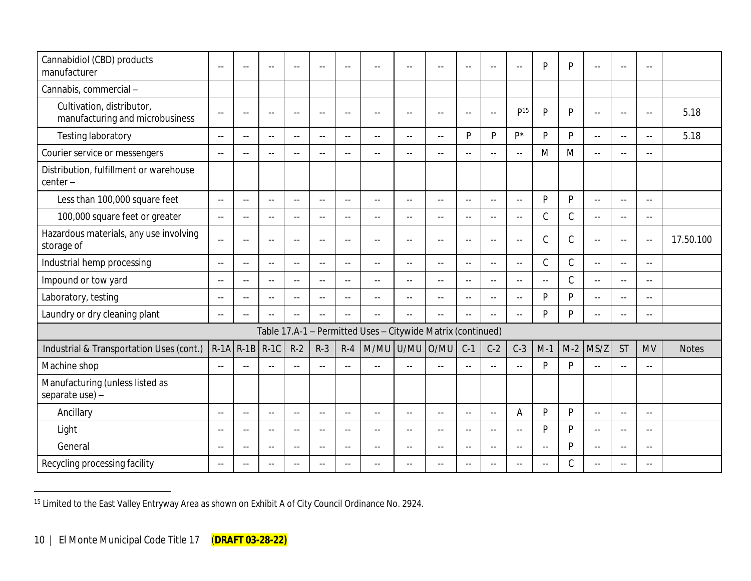| Cannabidiol (CBD) products<br>manufacturer                   | $-$           | $-$           | $\sim$        | $\sim$ $\sim$ | $\sim$ $-$    | $\sim$        | $\sim$                                                      | $\sim$ $\sim$ | $\sim$                    | $\sim$ $\sim$             | $\sim$                   | $\sim$          | D                       | P             | $\sim$                    | $-$           | $\sim$ $\sim$ |              |
|--------------------------------------------------------------|---------------|---------------|---------------|---------------|---------------|---------------|-------------------------------------------------------------|---------------|---------------------------|---------------------------|--------------------------|-----------------|-------------------------|---------------|---------------------------|---------------|---------------|--------------|
| Cannabis, commercial-                                        |               |               |               |               |               |               |                                                             |               |                           |                           |                          |                 |                         |               |                           |               |               |              |
| Cultivation, distributor,<br>manufacturing and microbusiness | $\sim$ $\sim$ | $\sim$ $\sim$ | $\sim$        | $\sim$ $\sim$ | $\sim$ $\sim$ | $\sim$ $\sim$ | $\sim$ $\sim$                                               | $\sim$ $\sim$ | $\sim$ $\sim$             | $\sim$ $\sim$             | $\sim$ $\sim$            | D <sup>15</sup> | <b>D</b>                | P             | $\sim$ $\sim$             | $\sim$ $\sim$ | $\sim$ $\sim$ | 5.18         |
| <b>Testing laboratory</b>                                    | $\sim$ $\sim$ | $\sim$ $\sim$ | $\sim$ $\sim$ | $\sim$ $\sim$ | $\sim$ $\sim$ | $\sim$ $\sim$ | $\sim$ $\sim$                                               | $\sim$ $\sim$ | $\overline{a}$            | <b>D</b>                  | D                        | D*              | D                       | P             | $\sim$ $\sim$             | $\sim$ $\sim$ | $\sim$ $\sim$ | 5.18         |
| Courier service or messengers                                | $\sim$ $\sim$ | $\sim$ $\sim$ | $\sim$ $\sim$ | $\sim$        | $\sim$ $\sim$ | $\sim$ $\sim$ | $\sim$ $\sim$                                               | $\sim$ $\sim$ | $-$                       | $\sim$ $\sim$             | $-$                      | $\overline{a}$  | M                       | M             | $\sim$                    | $\sim$ $\sim$ | $\sim$ $\sim$ |              |
| Distribution, fulfillment or warehouse<br>center-            |               |               |               |               |               |               |                                                             |               |                           |                           |                          |                 |                         |               |                           |               |               |              |
| Less than 100,000 square feet                                | $\sim$ $\sim$ | $\sim$        | $\sim$ $\sim$ | $\sim$        | $\sim$ $\sim$ | $\sim$ $\sim$ | $\sim$ $\sim$                                               | $\sim$ $\sim$ | $\overline{a}$            | $\overline{a}$            | $\sim$ $\sim$            | $\overline{a}$  | P                       | P             | $\sim$ $\sim$             | $\sim$ $\sim$ | $\sim$ $\sim$ |              |
| 100,000 square feet or greater                               | $\sim$ $\sim$ | $\sim$ $\sim$ | $\sim$ $\sim$ | $\sim$ $\sim$ | $\sim$ $\sim$ | $\sim$ $\sim$ | $\sim$ $\sim$                                               | $\sim$ $\sim$ | $\mathbb{L}^{\mathbb{L}}$ | $\mathbb{L}^{\mathbb{L}}$ | $\sim$ $\sim$            | $\sim$          | C                       | $\mathsf C$   | $\mathbb{L}^{\mathbb{L}}$ | $\sim$ $\sim$ | $\sim$ $\sim$ |              |
| Hazardous materials, any use involving<br>storage of         | $\sim$ $\sim$ | $\sim$ $\sim$ | $\sim$ $\sim$ | $\sim$ $\sim$ | $\sim$ $\sim$ | $\sim$ $\sim$ | $\sim$ $\sim$                                               | $\sim$ $\sim$ | $\sim$ $\sim$             | $\sim$ $\sim$             | $\overline{\phantom{a}}$ | $\sim$ $\sim$   | $\mathcal{C}$           | $\mathcal{C}$ | $\sim$ $\sim$             | $\sim$ $\sim$ | $\sim$ $\sim$ | 17.50.100    |
| Industrial hemp processing                                   | $\sim$ $\sim$ | $\sim$ $\sim$ | $\sim$ $\sim$ | $\sim$ $\sim$ | $\sim$ $-$    | $\sim$ $\sim$ | $\sim$ $\sim$                                               | $\sim$ $\sim$ | $\mathbb{L} \mathbb{L}$   | $\sim$ $\sim$             | $\overline{\phantom{a}}$ | $\sim$ $\sim$   | $\mathcal{C}$           | $\mathcal{C}$ | $\mathbb{L}^{\mathbb{L}}$ | $\sim$ $\sim$ | $\sim$ $\sim$ |              |
| Impound or tow yard                                          | $\sim$ $\sim$ | $\sim$ $\sim$ | $\sim$ $\sim$ | $\sim$ $\sim$ | $\sim$ $\sim$ | $\sim$ $\sim$ | $\sim$ $\sim$                                               | $\sim$ $\sim$ | $\overline{a}$            | $\sim$ $\sim$             | $\sim$ $\sim$            | $\sim$ $\sim$   | $\mathbb{L} \mathbb{L}$ | $\mathcal{C}$ | $\mathbb{L}^{\mathbb{L}}$ | $\sim$ $\sim$ | $\sim$ $\sim$ |              |
| Laboratory, testing                                          | $\sim$ $\sim$ | $\sim$ $\sim$ | $\sim$ $\sim$ | $\sim$ $\sim$ | $\sim$ $\sim$ | $\sim$ $-$    | $-$                                                         | $\sim$ $\sim$ | $-$                       | ۰.                        | $-$                      | $\overline{a}$  | D                       | P             | $\sim$ $\sim$             | $\sim$ $\sim$ | $\sim$ $\sim$ |              |
| Laundry or dry cleaning plant                                | $\sim$ $\sim$ | $\sim$ $\sim$ | $\sim$ $-$    | $\sim$        | $\sim$ $\sim$ | $\sim$ $\sim$ | $\sim$ $\sim$                                               |               | $-$                       | $\overline{a}$            | $-$                      | $\overline{a}$  | <b>D</b>                | P             | $\sim$ $\sim$             | $\sim$        | $\sim$ $\sim$ |              |
|                                                              |               |               |               |               |               |               | Table 17.A-1 - Permitted Uses - Citywide Matrix (continued) |               |                           |                           |                          |                 |                         |               |                           |               |               |              |
| Industrial & Transportation Uses (cont.)                     | $R-1A$        | $R-1B$        | $R-1C$        | $R-2$         | $R-3$         | $R-4$         | M/MU                                                        | U/MU          | O/MU                      | $C-1$                     | $C-2$                    | $C-3$           | $M-1$                   | $M-2$         | MS/Z                      | <b>ST</b>     | <b>MV</b>     | <b>Notes</b> |
| Machine shop                                                 | $\sim$ $\sim$ | $\sim$ $\sim$ |               | $\sim$ $\sim$ |               | $\sim$        | $\sim$                                                      |               | $-$                       | $\sim$                    | $\sim$                   | ÷.              | <b>D</b>                | P             | $\overline{a}$            | $\sim$        | $\sim$ $\sim$ |              |
| Manufacturing (unless listed as<br>separate use) -           |               |               |               |               |               |               |                                                             |               |                           |                           |                          |                 |                         |               |                           |               |               |              |
| Ancillary                                                    | $\sim$ $\sim$ | $\sim$ $\sim$ | $\sim$        | $\sim$ $\sim$ | $\sim$ $\sim$ | $\sim$ $\sim$ | $\sim$ $\sim$                                               | $\sim$ $\sim$ | $\sim$ $\sim$             | $\sim$ $\sim$             | $\overline{\phantom{a}}$ | A               | P                       | P             | $\sim$ $\sim$             | $\sim$ $\sim$ | $\sim$ $\sim$ |              |
| Light                                                        | $\sim$ $\sim$ | $\sim$ $\sim$ | $\sim$ $\sim$ | $\sim$ $\sim$ | $\sim$ $\sim$ | $\sim$ $\sim$ | $\sim$ $\sim$                                               | $\sim$ $\sim$ | $\mathbf{u}$              | $\overline{a}$            | $\overline{\phantom{a}}$ | $\sim$ $\sim$   | <b>D</b>                | P             | $\sim$ $\sim$             | $\sim$ $\sim$ | $\sim$ $\sim$ |              |
| General                                                      | $\sim$ $-$    | $\sim$ $\sim$ | $\sim$ $\sim$ | $\sim$ $\sim$ | $\sim$ $\sim$ | $\sim$ $\sim$ | $\sim$ $\sim$                                               | $\sim$ $-$    | $\overline{\phantom{a}}$  | $\sim$ $\sim$             | $-$                      | $-$             | $\sim$ $\sim$           | P             | $\sim$ $\sim$             | $\sim$ $-$    | $\sim$ $\sim$ |              |
| Recycling processing facility                                | $\sim$ $\sim$ | $\sim$ $\sim$ | $ -$          | $-$           | $-$           | $\sim$ $\sim$ |                                                             | $\sim$ $\sim$ | $-$                       | $-1$                      | $-$                      | $-$             | $\sim$ $\sim$           | $\mathcal{C}$ | $\sim$ $\sim$             | $\sim$ $\sim$ |               |              |

<sup>&</sup>lt;sup>15</sup> Limited to the East Valley Entryway Area as shown on Exhibit A of City Council Ordinance No. 2924.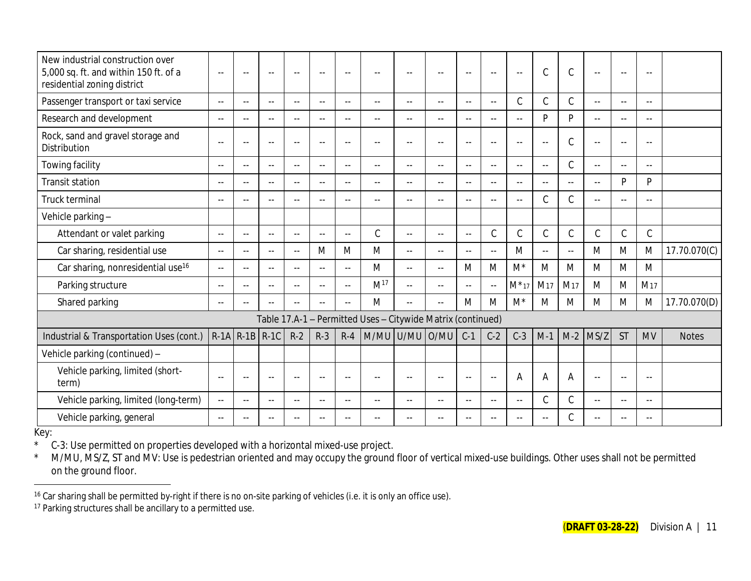| New industrial construction over<br>5,000 sq. ft. and within 150 ft. of a<br>residential zoning district | $\overline{\phantom{a}}$ | $-$                  | $-$                      | $-$           | $\sim$ $-$    | $\sim$ $\sim$ | $\sim$                                                      | $\overline{\phantom{a}}$ | $\overline{a}$ | $\overline{\phantom{a}}$ | $\sim$ $\sim$ | $\overline{\phantom{a}}$ | $\mathcal{C}$   | $\mathsf C$     | $-$            | $\sim$ $\sim$ | $\sim$ $\sim$   |              |
|----------------------------------------------------------------------------------------------------------|--------------------------|----------------------|--------------------------|---------------|---------------|---------------|-------------------------------------------------------------|--------------------------|----------------|--------------------------|---------------|--------------------------|-----------------|-----------------|----------------|---------------|-----------------|--------------|
| Passenger transport or taxi service                                                                      | $\sim$ $\sim$            | $\sim$ $-$           | $-$                      | $\sim$ $\sim$ | $\sim$ $\sim$ | $\sim$ $\sim$ | $\sim$ $\sim$                                               | $\sim$ $\sim$            | $\overline{a}$ | $\sim$ $\sim$            | $\sim$ $\sim$ | C                        | C               | $\mathsf C$     | $\sim$ $\sim$  | $\sim$ $\sim$ | $\sim$ $\sim$   |              |
| Research and development                                                                                 | $\sim$ $\sim$            | $-$                  | $\sim$                   | $\sim$ $\sim$ | $\sim$ $\sim$ | $\sim$ $-$    | $\sim$                                                      | $\sim$ $\sim$            | $\overline{a}$ | $\sim$ $\sim$            | $\sim$ $\sim$ | $-$                      | <b>D</b>        | P               | $\sim$ $\sim$  | $\sim$ $\sim$ | $\sim$ $\sim$   |              |
| Rock, sand and gravel storage and<br>Distribution                                                        | $\sim$ $\sim$            | $\sim$ $\sim$        | $\overline{\phantom{a}}$ | $\sim$ $\sim$ | $\sim$ $\sim$ | $\sim$ $\sim$ | $\sim$                                                      | $\sim$ $\sim$            | $-$            | $\sim$ $\sim$            | $\sim$ $\sim$ | $-$                      | $\sim$ $\sim$   | $\mathsf C$     | $-$            | $\sim$ $\sim$ | $\sim$ $\sim$   |              |
| Towing facility                                                                                          | $- -$                    | $-1$                 | $-$                      | $\sim$ $\sim$ | $\sim$ $-$    | $\sim$ $-$    | $\sim$ $\sim$                                               | $\sim$ $\sim$            | $\sim$ $\sim$  | $\sim$ $-$               | $- -$         | $\sim$ $\sim$            | $\sim$ $\sim$   | $\mathcal{C}$   | $\sim$ $\sim$  | $\sim$ $\sim$ | $\sim$ $\sim$   |              |
| <b>Transit station</b>                                                                                   | $\sim$ $\sim$            | $\sim$ $\sim$        | $\overline{a}$           | $\sim$ $\sim$ | $\sim$ $\sim$ | $ -$          | $\sim$ $\sim$                                               | $\sim$ $\sim$            | $\overline{a}$ | $\sim$ $\sim$            | $\sim$ $\sim$ | $\sim$ $\sim$            | $\sim$ $\sim$   | $\sim$ $\sim$   | $\sim$ $\sim$  | P             | P               |              |
| Truck terminal                                                                                           | $\sim$ $\sim$            |                      | ÷.                       | $\sim$ $\sim$ | $\sim$ $\sim$ | $\sim$ $\sim$ | $-$                                                         | $\sim$ $\sim$            | $\overline{a}$ | $\sim$ $\sim$            | $\sim$        | $\sim$                   | $\mathcal{C}$   | $\mathsf C$     | $\sim$ $\sim$  | $- -$         | $\sim$          |              |
| Vehicle parking-                                                                                         |                          |                      |                          |               |               |               |                                                             |                          |                |                          |               |                          |                 |                 |                |               |                 |              |
| Attendant or valet parking                                                                               | $\sim$ $\sim$            | $\sim$ $\sim$        | $-$                      | $- -$         | $\sim$ $-$    | $\sim$ $\sim$ | $\mathcal{C}$                                               | $\sim$ $\sim$            | $\overline{a}$ | $\sim$ $\sim$            | C             | C                        | C               | $\mathsf C$     | C              | $\mathsf C$   | $\mathsf C$     |              |
| Car sharing, residential use                                                                             | $\sim$ $\sim$            | $- -$                | $\sim$                   | $\sim$ $-$    | M             | M             | M                                                           | $\sim$ $\sim$            | $\sim$ $\sim$  | $\sim$ $-$               | $\sim$ $\sim$ | M                        | $\sim$ $\sim$   | $\sim$ $\sim$   | M              | M             | M               | 17.70.070(C) |
| Car sharing, nonresidential use <sup>16</sup>                                                            | $\overline{a}$           | $\sim$ $\sim$        | $\overline{a}$           | $\sim$ $\sim$ | $\sim$ $\sim$ | $\sim$ $\sim$ | M                                                           | $\sim$ $\sim$            | 44             | M                        | M             | $M^*$                    | M               | M               | M              | M             | M               |              |
| Parking structure                                                                                        | $\sim$ $\sim$            | $-1$                 | $\sim$ $\sim$            | $\sim$ $\sim$ | $\sim$ $\sim$ | $\sim$ $-$    | M <sup>17</sup>                                             | $\sim$ $\sim$            | $\sim$ $\sim$  | $\sim$ $\sim$            | $\sim$ $\sim$ | $M^*$ 17                 | M <sub>17</sub> | M <sub>17</sub> | M              | M             | M <sub>17</sub> |              |
| Shared parking                                                                                           | $\sim$                   | $\sim$ $\sim$        | $\sim$ $\sim$            | $\sim$ $\sim$ | $\sim$ $\sim$ | $\sim$ $-$    | M                                                           | $\sim$ $\sim$            | $-$            | M                        | M             | $M^*$                    | M               | M               | M              | M             | M               | 17.70.070(D) |
|                                                                                                          |                          |                      |                          |               |               |               | Table 17.A-1 - Permitted Uses - Citywide Matrix (continued) |                          |                |                          |               |                          |                 |                 |                |               |                 |              |
| Industrial & Transportation Uses (cont.)                                                                 |                          | $R-1A$ $R-1B$ $R-1C$ |                          | $R-2$         | $R-3$         | $R-4$         | M/MU U/MU                                                   |                          | O/MU           | $C-1$                    | $C-2$         | $C-3$                    | $M-1$           | $M-2$           | MS/Z           | <b>ST</b>     | <b>MV</b>       | <b>Notes</b> |
| Vehicle parking (continued) -                                                                            |                          |                      |                          |               |               |               |                                                             |                          |                |                          |               |                          |                 |                 |                |               |                 |              |
| Vehicle parking, limited (short-<br>term)                                                                | $\sim$ $\sim$            | $\sim$ $\sim$        | $\sim$                   | $\sim$ $\sim$ | $\sim$ $\sim$ | $\sim$ $\sim$ |                                                             | $\sim$ $\sim$            | $\overline{a}$ | $\sim$ $\sim$            | $\sim$ $\sim$ | A                        | Α               | Α               | $\sim$ $\sim$  | $\sim$ $\sim$ | $\sim$ $\sim$   |              |
| Vehicle parking, limited (long-term)                                                                     | $\sim$                   | $\sim$ $\sim$        | $\overline{a}$           | $\sim$ $\sim$ | $\sim$ $\sim$ | $\sim$ $\sim$ | $\sim$                                                      | $\sim$ $\sim$            | $\overline{a}$ | $-$                      | $-$           | $-$                      | C               | $\mathsf C$     | $-$            | $\sim$ $\sim$ | $\sim$ $\sim$   |              |
| Vehicle parking, general                                                                                 | $\sim$ $\sim$            |                      | $\sim$ $\sim$            | $\sim$ $\sim$ | $\sim$ $\sim$ | $-$           |                                                             |                          | $-$            |                          | $-$           |                          | $\sim$ $\sim$   | $\mathcal{C}$   | $\overline{a}$ | $-$           |                 |              |

Key:

\* C-3: Use permitted on properties developed with a horizontal mixed-use project.<br>\* M/MU MS/Z ST and MV: Use is pedestrian oriented and may occupy the ground

M/MU, MS/Z, ST and MV: Use is pedestrian oriented and may occupy the ground floor of vertical mixed-use buildings. Other uses shall not be permitted on the ground floor.

 $16$  Car sharing shall be permitted by-right if there is no on-site parking of vehicles (i.e. it is only an office use).

<sup>&</sup>lt;sup>17</sup> Parking structures shall be ancillary to a permitted use.